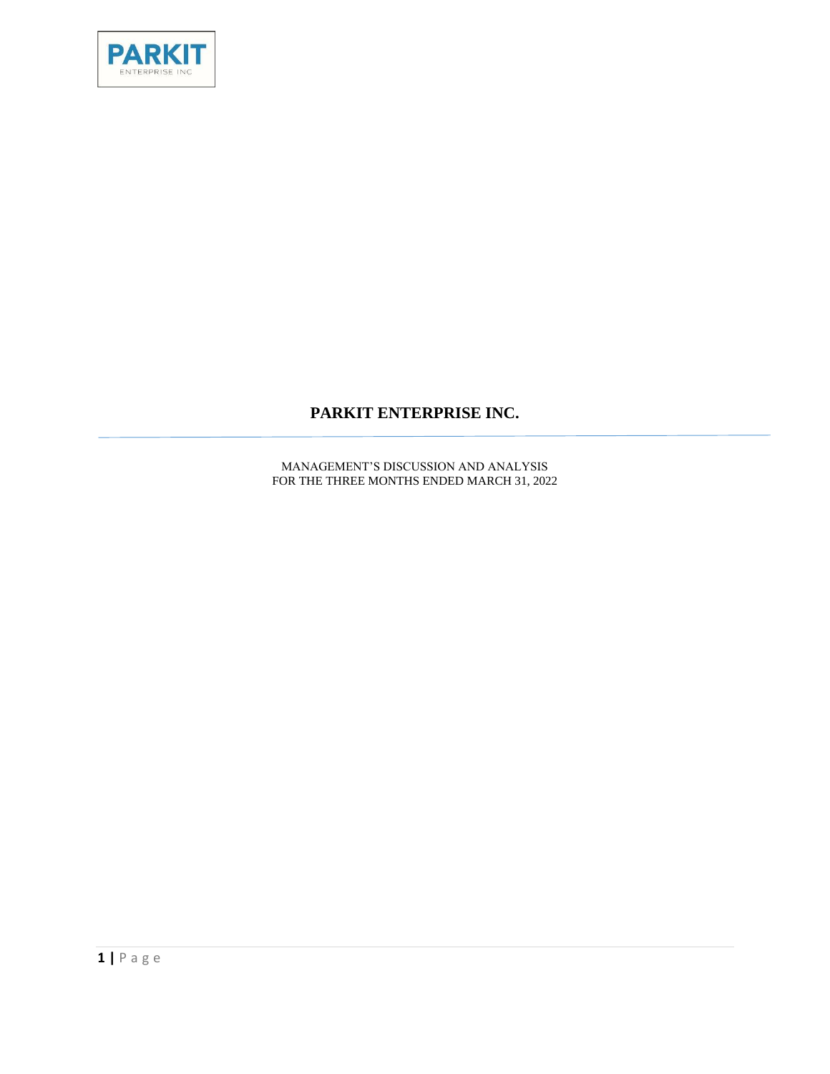

## **PARKIT ENTERPRISE INC.**

MANAGEMENT'S DISCUSSION AND ANALYSIS FOR THE THREE MONTHS ENDED MARCH 31, 2022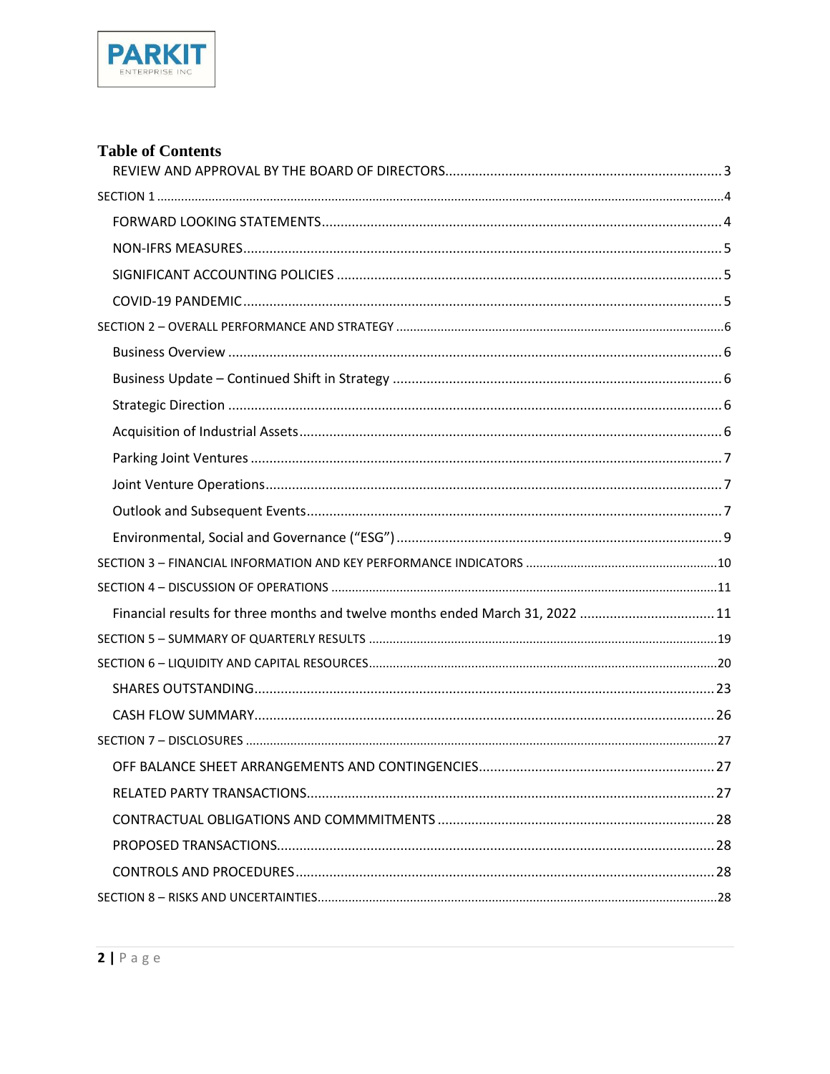

## **Table of Contents**

| Financial results for three months and twelve months ended March 31, 2022 11 |  |
|------------------------------------------------------------------------------|--|
|                                                                              |  |
|                                                                              |  |
|                                                                              |  |
|                                                                              |  |
|                                                                              |  |
|                                                                              |  |
|                                                                              |  |
|                                                                              |  |
|                                                                              |  |
|                                                                              |  |
|                                                                              |  |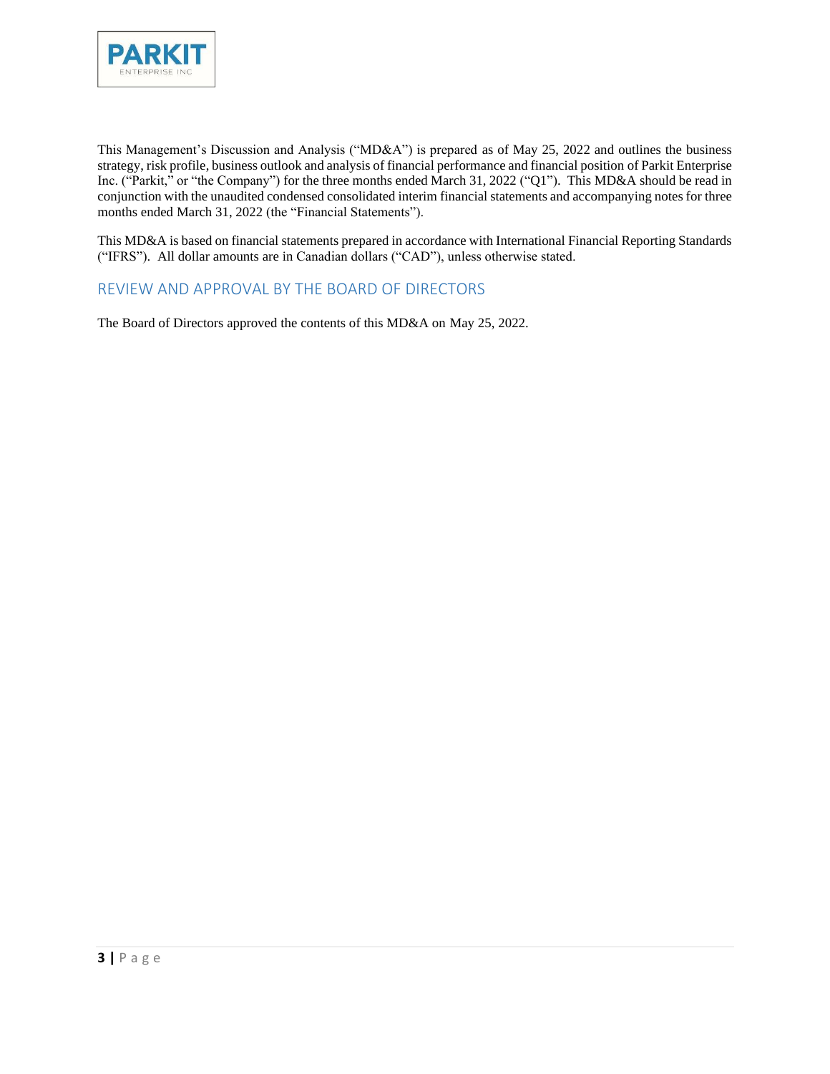

This Management's Discussion and Analysis ("MD&A") is prepared as of May 25, 2022 and outlines the business strategy, risk profile, business outlook and analysis of financial performance and financial position of Parkit Enterprise Inc. ("Parkit," or "the Company") for the three months ended March 31, 2022 ("Q1"). This MD&A should be read in conjunction with the unaudited condensed consolidated interim financial statements and accompanying notes for three months ended March 31, 2022 (the "Financial Statements").

This MD&A is based on financial statements prepared in accordance with International Financial Reporting Standards ("IFRS"). All dollar amounts are in Canadian dollars ("CAD"), unless otherwise stated.

#### <span id="page-2-0"></span>REVIEW AND APPROVAL BY THE BOARD OF DIRECTORS

The Board of Directors approved the contents of this MD&A on May 25, 2022.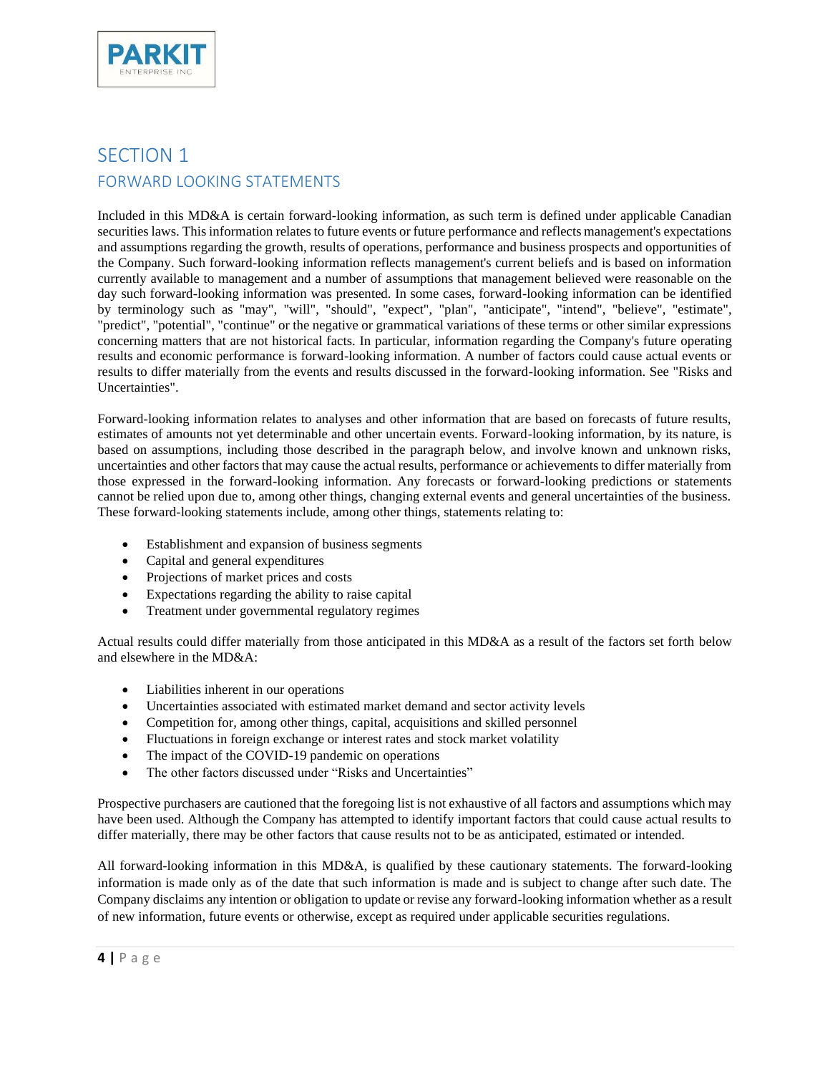

# <span id="page-3-1"></span><span id="page-3-0"></span>SECTION 1 FORWARD LOOKING STATEMENTS

Included in this MD&A is certain forward-looking information, as such term is defined under applicable Canadian securities laws. This information relates to future events or future performance and reflects management's expectations and assumptions regarding the growth, results of operations, performance and business prospects and opportunities of the Company. Such forward-looking information reflects management's current beliefs and is based on information currently available to management and a number of assumptions that management believed were reasonable on the day such forward-looking information was presented. In some cases, forward-looking information can be identified by terminology such as "may", "will", "should", "expect", "plan", "anticipate", "intend", "believe", "estimate", "predict", "potential", "continue" or the negative or grammatical variations of these terms or other similar expressions concerning matters that are not historical facts. In particular, information regarding the Company's future operating results and economic performance is forward-looking information. A number of factors could cause actual events or results to differ materially from the events and results discussed in the forward-looking information. See "Risks and Uncertainties".

Forward-looking information relates to analyses and other information that are based on forecasts of future results, estimates of amounts not yet determinable and other uncertain events. Forward-looking information, by its nature, is based on assumptions, including those described in the paragraph below, and involve known and unknown risks, uncertainties and other factors that may cause the actual results, performance or achievements to differ materially from those expressed in the forward-looking information. Any forecasts or forward-looking predictions or statements cannot be relied upon due to, among other things, changing external events and general uncertainties of the business. These forward-looking statements include, among other things, statements relating to:

- Establishment and expansion of business segments
- Capital and general expenditures
- Projections of market prices and costs
- Expectations regarding the ability to raise capital
- Treatment under governmental regulatory regimes

Actual results could differ materially from those anticipated in this MD&A as a result of the factors set forth below and elsewhere in the MD&A:

- Liabilities inherent in our operations
- Uncertainties associated with estimated market demand and sector activity levels
- Competition for, among other things, capital, acquisitions and skilled personnel
- Fluctuations in foreign exchange or interest rates and stock market volatility
- The impact of the COVID-19 pandemic on operations
- The other factors discussed under "Risks and Uncertainties"

Prospective purchasers are cautioned that the foregoing list is not exhaustive of all factors and assumptions which may have been used. Although the Company has attempted to identify important factors that could cause actual results to differ materially, there may be other factors that cause results not to be as anticipated, estimated or intended.

All forward-looking information in this MD&A, is qualified by these cautionary statements. The forward-looking information is made only as of the date that such information is made and is subject to change after such date. The Company disclaims any intention or obligation to update or revise any forward-looking information whether as a result of new information, future events or otherwise, except as required under applicable securities regulations.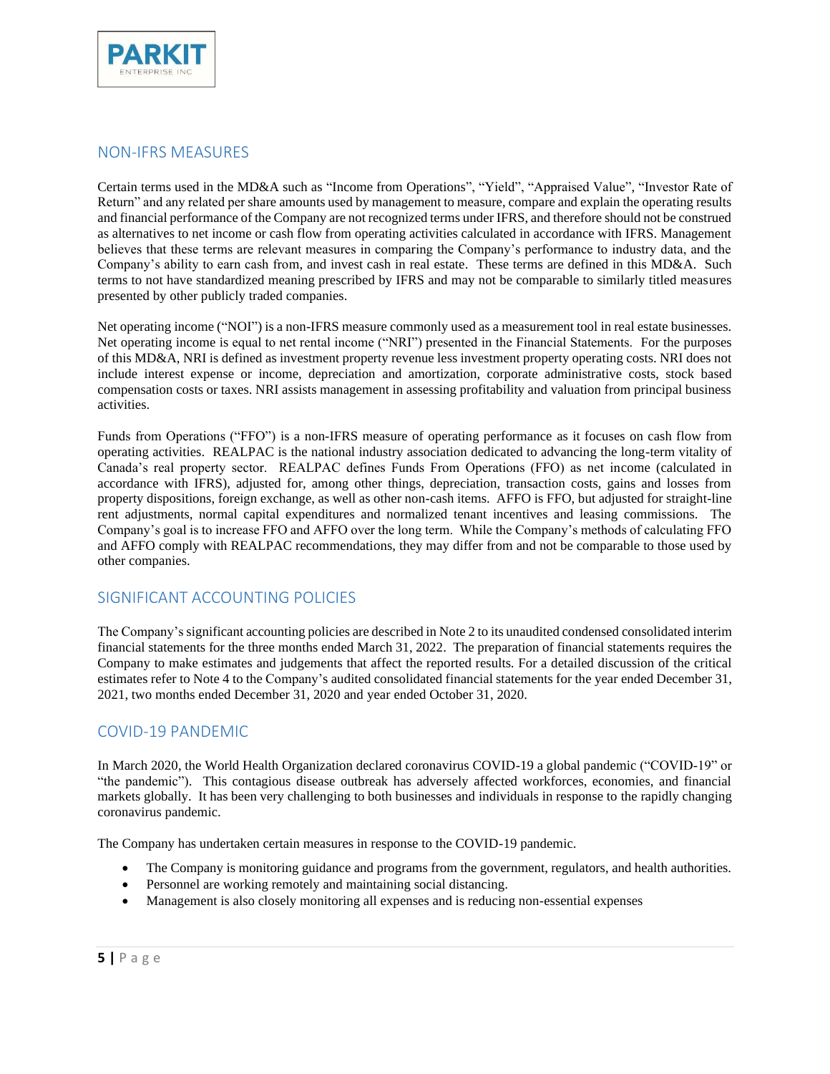

## <span id="page-4-0"></span>NON-IFRS MEASURES

Certain terms used in the MD&A such as "Income from Operations", "Yield", "Appraised Value", "Investor Rate of Return" and any related per share amounts used by management to measure, compare and explain the operating results and financial performance of the Company are not recognized terms under IFRS, and therefore should not be construed as alternatives to net income or cash flow from operating activities calculated in accordance with IFRS. Management believes that these terms are relevant measures in comparing the Company's performance to industry data, and the Company's ability to earn cash from, and invest cash in real estate. These terms are defined in this MD&A. Such terms to not have standardized meaning prescribed by IFRS and may not be comparable to similarly titled measures presented by other publicly traded companies.

Net operating income ("NOI") is a non-IFRS measure commonly used as a measurement tool in real estate businesses. Net operating income is equal to net rental income ("NRI") presented in the Financial Statements. For the purposes of this MD&A, NRI is defined as investment property revenue less investment property operating costs. NRI does not include interest expense or income, depreciation and amortization, corporate administrative costs, stock based compensation costs or taxes. NRI assists management in assessing profitability and valuation from principal business activities.

Funds from Operations ("FFO") is a non-IFRS measure of operating performance as it focuses on cash flow from operating activities. REALPAC is the national industry association dedicated to advancing the long-term vitality of Canada's real property sector. REALPAC defines Funds From Operations (FFO) as net income (calculated in accordance with IFRS), adjusted for, among other things, depreciation, transaction costs, gains and losses from property dispositions, foreign exchange, as well as other non-cash items. AFFO is FFO, but adjusted for straight-line rent adjustments, normal capital expenditures and normalized tenant incentives and leasing commissions. The Company's goal is to increase FFO and AFFO over the long term. While the Company's methods of calculating FFO and AFFO comply with REALPAC recommendations, they may differ from and not be comparable to those used by other companies.

### <span id="page-4-1"></span>SIGNIFICANT ACCOUNTING POLICIES

The Company's significant accounting policies are described in Note 2 to its unaudited condensed consolidated interim financial statements for the three months ended March 31, 2022. The preparation of financial statements requires the Company to make estimates and judgements that affect the reported results. For a detailed discussion of the critical estimates refer to Note 4 to the Company's audited consolidated financial statements for the year ended December 31, 2021, two months ended December 31, 2020 and year ended October 31, 2020.

### <span id="page-4-2"></span>COVID-19 PANDEMIC

In March 2020, the World Health Organization declared coronavirus COVID-19 a global pandemic ("COVID-19" or "the pandemic"). This contagious disease outbreak has adversely affected workforces, economies, and financial markets globally. It has been very challenging to both businesses and individuals in response to the rapidly changing coronavirus pandemic.

The Company has undertaken certain measures in response to the COVID-19 pandemic.

- The Company is monitoring guidance and programs from the government, regulators, and health authorities.
- Personnel are working remotely and maintaining social distancing.
- Management is also closely monitoring all expenses and is reducing non-essential expenses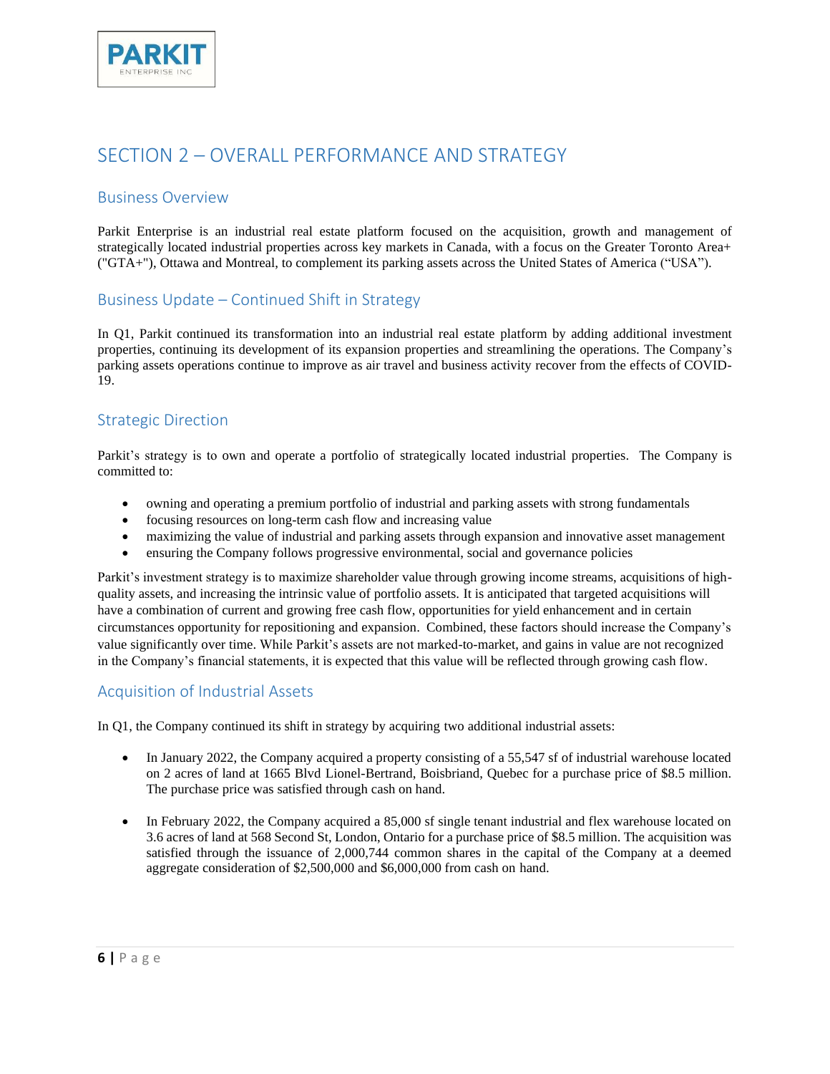

## <span id="page-5-0"></span>SECTION 2 – OVERALL PERFORMANCE AND STRATEGY

### <span id="page-5-1"></span>Business Overview

Parkit Enterprise is an industrial real estate platform focused on the acquisition, growth and management of strategically located industrial properties across key markets in Canada, with a focus on the Greater Toronto Area+ ("GTA+"), Ottawa and Montreal, to complement its parking assets across the United States of America ("USA").

## <span id="page-5-2"></span>Business Update – Continued Shift in Strategy

In Q1, Parkit continued its transformation into an industrial real estate platform by adding additional investment properties, continuing its development of its expansion properties and streamlining the operations. The Company's parking assets operations continue to improve as air travel and business activity recover from the effects of COVID-19.

### <span id="page-5-3"></span>Strategic Direction

Parkit's strategy is to own and operate a portfolio of strategically located industrial properties. The Company is committed to:

- owning and operating a premium portfolio of industrial and parking assets with strong fundamentals
- focusing resources on long-term cash flow and increasing value
- maximizing the value of industrial and parking assets through expansion and innovative asset management
- ensuring the Company follows progressive environmental, social and governance policies

Parkit's investment strategy is to maximize shareholder value through growing income streams, acquisitions of highquality assets, and increasing the intrinsic value of portfolio assets. It is anticipated that targeted acquisitions will have a combination of current and growing free cash flow, opportunities for yield enhancement and in certain circumstances opportunity for repositioning and expansion. Combined, these factors should increase the Company's value significantly over time. While Parkit's assets are not marked-to-market, and gains in value are not recognized in the Company's financial statements, it is expected that this value will be reflected through growing cash flow.

### <span id="page-5-4"></span>Acquisition of Industrial Assets

In Q1, the Company continued its shift in strategy by acquiring two additional industrial assets:

- In January 2022, the Company acquired a property consisting of a 55,547 sf of industrial warehouse located on 2 acres of land at 1665 Blvd Lionel-Bertrand, Boisbriand, Quebec for a purchase price of \$8.5 million. The purchase price was satisfied through cash on hand.
- In February 2022, the Company acquired a 85,000 sf single tenant industrial and flex warehouse located on 3.6 acres of land at 568 Second St, London, Ontario for a purchase price of \$8.5 million. The acquisition was satisfied through the issuance of 2,000,744 common shares in the capital of the Company at a deemed aggregate consideration of \$2,500,000 and \$6,000,000 from cash on hand.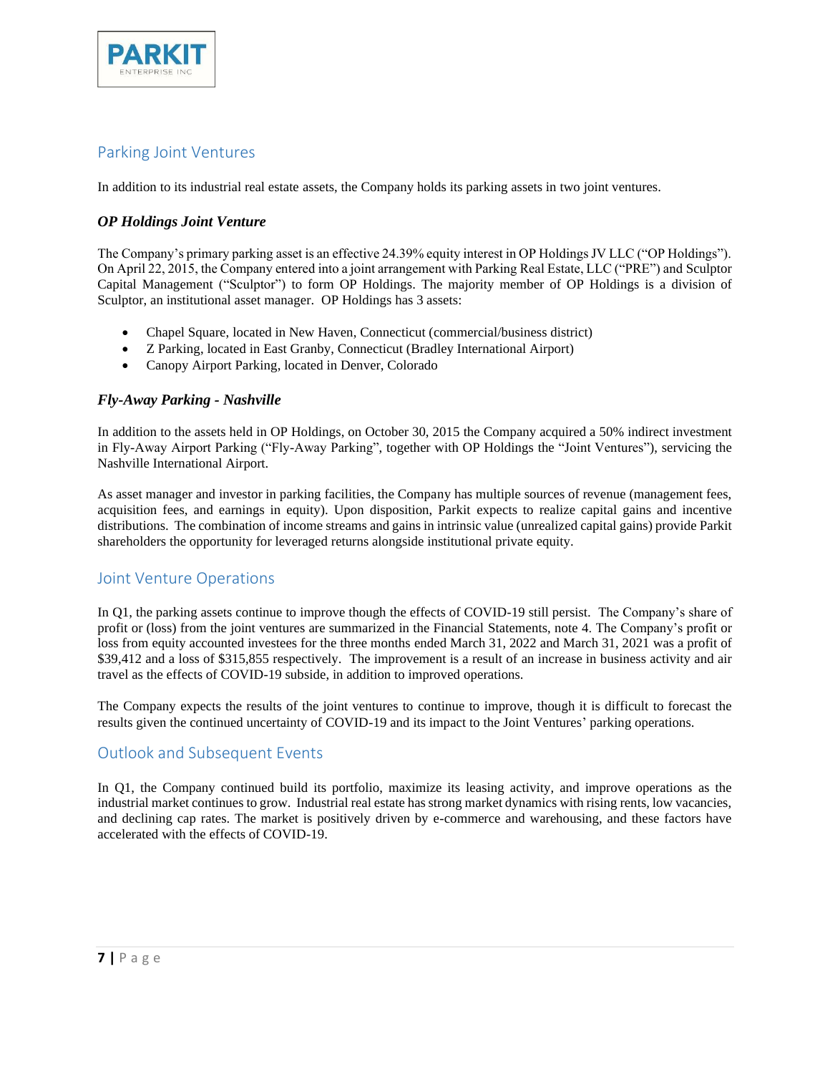

## <span id="page-6-0"></span>Parking Joint Ventures

In addition to its industrial real estate assets, the Company holds its parking assets in two joint ventures.

#### *OP Holdings Joint Venture*

The Company's primary parking asset is an effective 24.39% equity interest in OP Holdings JV LLC ("OP Holdings"). On April 22, 2015, the Company entered into a joint arrangement with Parking Real Estate, LLC ("PRE") and Sculptor Capital Management ("Sculptor") to form OP Holdings. The majority member of OP Holdings is a division of Sculptor, an institutional asset manager. OP Holdings has 3 assets:

- Chapel Square, located in New Haven, Connecticut (commercial/business district)
- Z Parking, located in East Granby, Connecticut (Bradley International Airport)
- Canopy Airport Parking, located in Denver, Colorado

#### *Fly-Away Parking - Nashville*

In addition to the assets held in OP Holdings, on October 30, 2015 the Company acquired a 50% indirect investment in Fly-Away Airport Parking ("Fly-Away Parking", together with OP Holdings the "Joint Ventures"), servicing the Nashville International Airport.

As asset manager and investor in parking facilities, the Company has multiple sources of revenue (management fees, acquisition fees, and earnings in equity). Upon disposition, Parkit expects to realize capital gains and incentive distributions. The combination of income streams and gains in intrinsic value (unrealized capital gains) provide Parkit shareholders the opportunity for leveraged returns alongside institutional private equity.

## <span id="page-6-1"></span>Joint Venture Operations

In Q1, the parking assets continue to improve though the effects of COVID-19 still persist. The Company's share of profit or (loss) from the joint ventures are summarized in the Financial Statements, note 4. The Company's profit or loss from equity accounted investees for the three months ended March 31, 2022 and March 31, 2021 was a profit of \$39,412 and a loss of \$315,855 respectively. The improvement is a result of an increase in business activity and air travel as the effects of COVID-19 subside, in addition to improved operations.

The Company expects the results of the joint ventures to continue to improve, though it is difficult to forecast the results given the continued uncertainty of COVID-19 and its impact to the Joint Ventures' parking operations.

## <span id="page-6-2"></span>Outlook and Subsequent Events

In Q1, the Company continued build its portfolio, maximize its leasing activity, and improve operations as the industrial market continues to grow. Industrial real estate has strong market dynamics with rising rents, low vacancies, and declining cap rates. The market is positively driven by e-commerce and warehousing, and these factors have accelerated with the effects of COVID-19.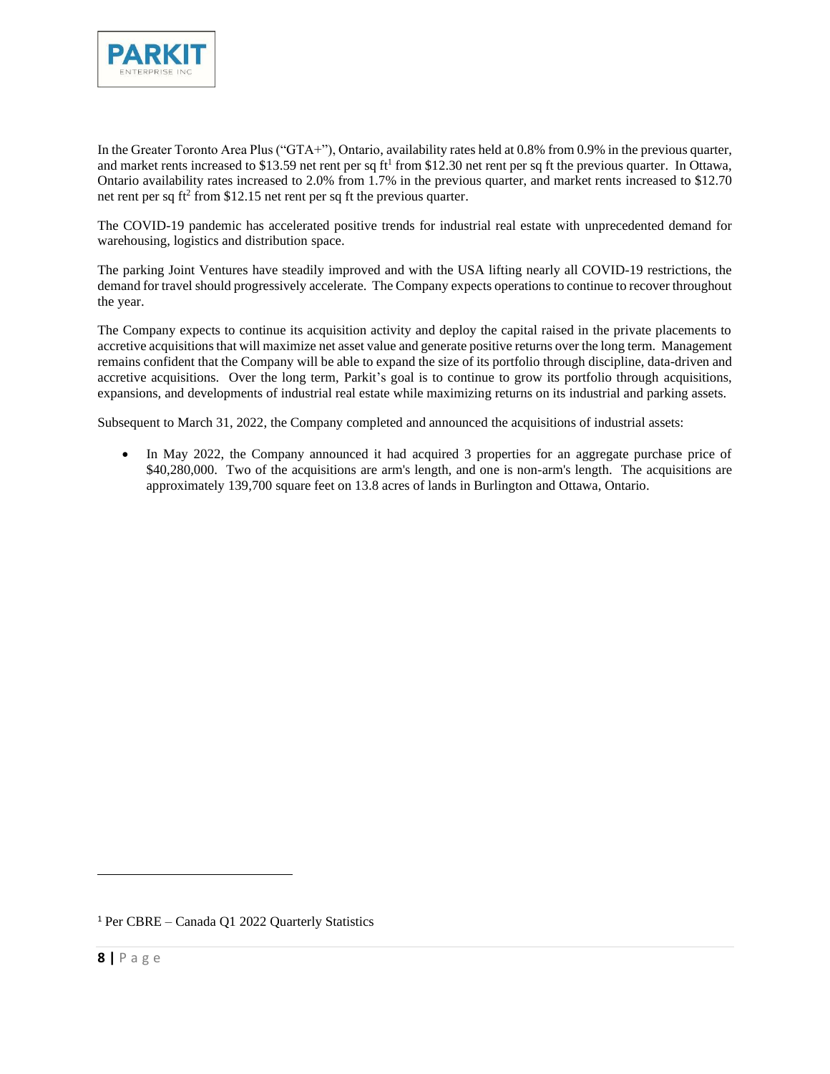

In the Greater Toronto Area Plus ("GTA+"), Ontario, availability rates held at 0.8% from 0.9% in the previous quarter, and market rents increased to \$13.59 net rent per sq  $ft<sup>1</sup>$  from \$12.30 net rent per sq ft the previous quarter. In Ottawa, Ontario availability rates increased to 2.0% from 1.7% in the previous quarter, and market rents increased to \$12.70 net rent per sq ft<sup>2</sup> from \$12.15 net rent per sq ft the previous quarter.

The COVID-19 pandemic has accelerated positive trends for industrial real estate with unprecedented demand for warehousing, logistics and distribution space.

The parking Joint Ventures have steadily improved and with the USA lifting nearly all COVID-19 restrictions, the demand for travel should progressively accelerate. The Company expects operations to continue to recover throughout the year.

The Company expects to continue its acquisition activity and deploy the capital raised in the private placements to accretive acquisitions that will maximize net asset value and generate positive returns over the long term. Management remains confident that the Company will be able to expand the size of its portfolio through discipline, data-driven and accretive acquisitions. Over the long term, Parkit's goal is to continue to grow its portfolio through acquisitions, expansions, and developments of industrial real estate while maximizing returns on its industrial and parking assets.

Subsequent to March 31, 2022, the Company completed and announced the acquisitions of industrial assets:

In May 2022, the Company announced it had acquired 3 properties for an aggregate purchase price of \$40,280,000. Two of the acquisitions are arm's length, and one is non-arm's length. The acquisitions are approximately 139,700 square feet on 13.8 acres of lands in Burlington and Ottawa, Ontario.

<sup>1</sup> Per CBRE – Canada Q1 2022 Quarterly Statistics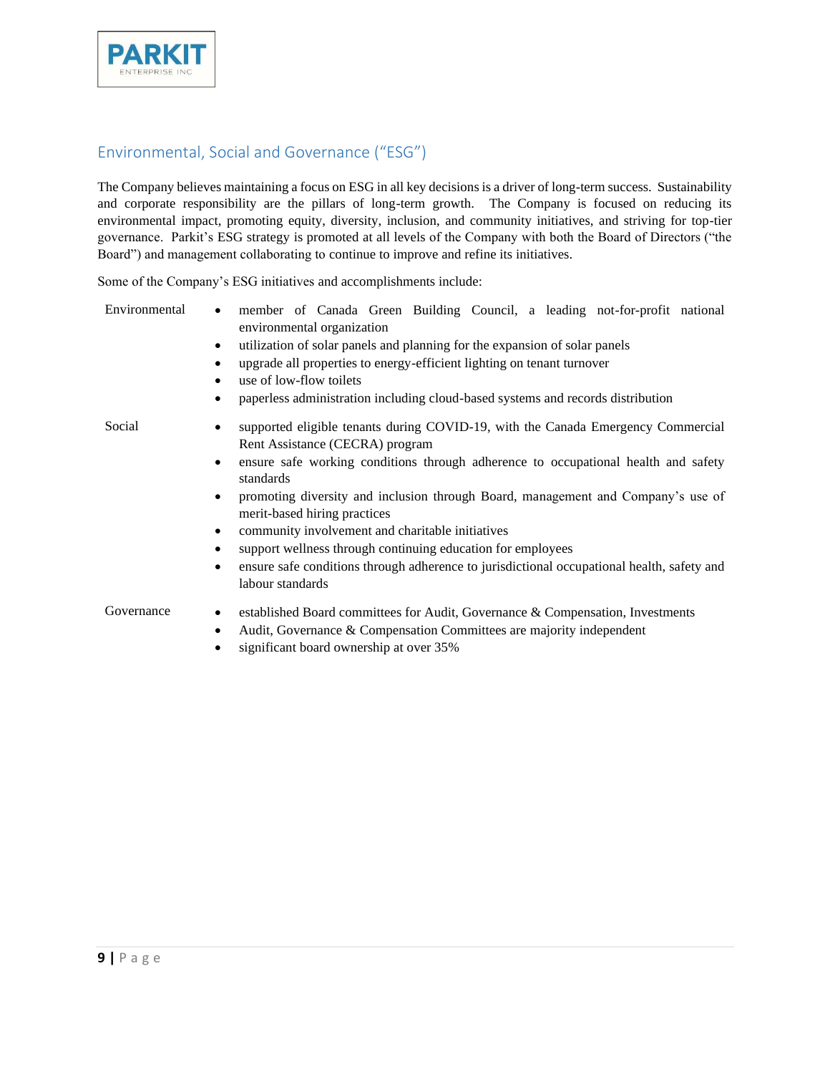

## <span id="page-8-0"></span>Environmental, Social and Governance ("ESG")

The Company believes maintaining a focus on ESG in all key decisions is a driver of long-term success. Sustainability and corporate responsibility are the pillars of long-term growth. The Company is focused on reducing its environmental impact, promoting equity, diversity, inclusion, and community initiatives, and striving for top-tier governance. Parkit's ESG strategy is promoted at all levels of the Company with both the Board of Directors ("the Board") and management collaborating to continue to improve and refine its initiatives.

Some of the Company's ESG initiatives and accomplishments include:

| Environmental | member of Canada Green Building Council, a leading not-for-profit national<br>$\bullet$<br>environmental organization<br>utilization of solar panels and planning for the expansion of solar panels<br>٠<br>upgrade all properties to energy-efficient lighting on tenant turnover<br>use of low-flow toilets<br>paperless administration including cloud-based systems and records distribution<br>$\bullet$                                                                                                                                                                                                          |
|---------------|------------------------------------------------------------------------------------------------------------------------------------------------------------------------------------------------------------------------------------------------------------------------------------------------------------------------------------------------------------------------------------------------------------------------------------------------------------------------------------------------------------------------------------------------------------------------------------------------------------------------|
| Social        | supported eligible tenants during COVID-19, with the Canada Emergency Commercial<br>Rent Assistance (CECRA) program<br>ensure safe working conditions through adherence to occupational health and safety<br>$\bullet$<br>standards<br>promoting diversity and inclusion through Board, management and Company's use of<br>$\bullet$<br>merit-based hiring practices<br>community involvement and charitable initiatives<br>$\bullet$<br>support wellness through continuing education for employees<br>ensure safe conditions through adherence to jurisdictional occupational health, safety and<br>labour standards |
| Governance    | established Board committees for Audit, Governance & Compensation, Investments<br>$\bullet$<br>Audit, Governance & Compensation Committees are majority independent<br>$\bullet$<br>significant board ownership at over 35%                                                                                                                                                                                                                                                                                                                                                                                            |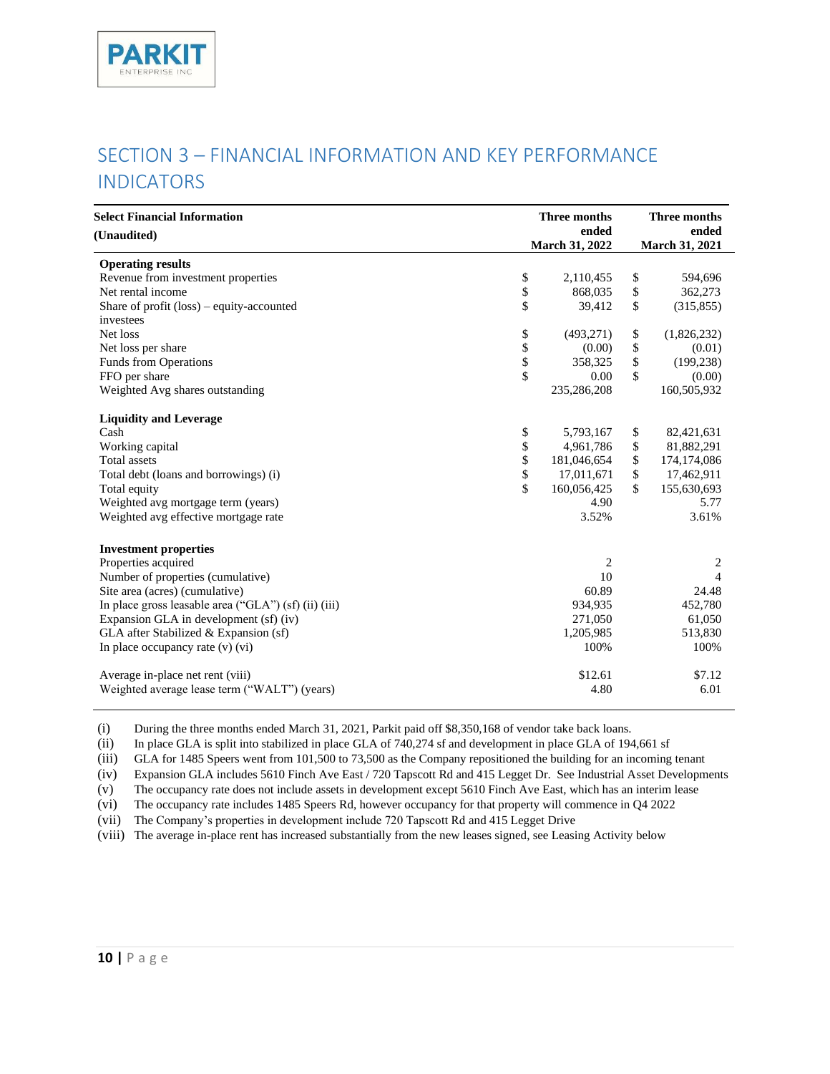# <span id="page-9-0"></span>SECTION 3 – FINANCIAL INFORMATION AND KEY PERFORMANCE INDICATORS

| <b>Select Financial Information</b><br>(Unaudited)   |           | <b>Three months</b><br>ended | <b>Three months</b><br>ended |
|------------------------------------------------------|-----------|------------------------------|------------------------------|
|                                                      |           | March 31, 2022               | March 31, 2021               |
| <b>Operating results</b>                             |           |                              |                              |
| Revenue from investment properties                   | \$        | 2,110,455                    | \$<br>594,696                |
| Net rental income                                    | \$        | 868,035                      | \$<br>362,273                |
| Share of profit $(\text{loss})$ – equity-accounted   | \$        | 39,412                       | \$<br>(315, 855)             |
| investees                                            |           |                              |                              |
| Net loss                                             | \$        | (493, 271)                   | \$<br>(1,826,232)            |
| Net loss per share                                   |           | (0.00)                       | \$<br>(0.01)                 |
| Funds from Operations                                | \$<br>\$  | 358,325                      | \$<br>(199, 238)             |
| FFO per share                                        | $\hat{S}$ | 0.00                         | \$<br>(0.00)                 |
| Weighted Avg shares outstanding                      |           | 235,286,208                  | 160,505,932                  |
| <b>Liquidity and Leverage</b>                        |           |                              |                              |
| Cash                                                 | \$        | 5,793,167                    | \$<br>82,421,631             |
| Working capital                                      | \$        | 4,961,786                    | \$<br>81,882,291             |
| <b>Total</b> assets                                  | \$        | 181,046,654                  | \$<br>174,174,086            |
| Total debt (loans and borrowings) (i)                | \$        | 17,011,671                   | \$<br>17,462,911             |
| Total equity                                         | \$        | 160,056,425                  | \$<br>155,630,693            |
| Weighted avg mortgage term (years)                   |           | 4.90                         | 5.77                         |
| Weighted avg effective mortgage rate                 |           | 3.52%                        | 3.61%                        |
| <b>Investment properties</b>                         |           |                              |                              |
| Properties acquired                                  |           | 2                            | 2                            |
| Number of properties (cumulative)                    |           | 10                           | $\overline{4}$               |
| Site area (acres) (cumulative)                       |           | 60.89                        | 24.48                        |
| In place gross leasable area ("GLA") (sf) (ii) (iii) |           | 934,935                      | 452,780                      |
| Expansion GLA in development (sf) (iv)               |           | 271,050                      | 61,050                       |
| GLA after Stabilized & Expansion (sf)                |           | 1,205,985                    | 513,830                      |
| In place occupancy rate $(v)$ $(vi)$                 |           | 100%                         | 100%                         |
| Average in-place net rent (viii)                     |           | \$12.61                      | \$7.12                       |
| Weighted average lease term ("WALT") (years)         |           | 4.80                         | 6.01                         |

(i) During the three months ended March 31, 2021, Parkit paid off \$8,350,168 of vendor take back loans.

(ii) In place GLA is split into stabilized in place GLA of 740,274 sf and development in place GLA of 194,661 sf

(iii) GLA for 1485 Speers went from 101,500 to 73,500 as the Company repositioned the building for an incoming tenant

(iv) Expansion GLA includes 5610 Finch Ave East / 720 Tapscott Rd and 415 Legget Dr. See Industrial Asset Developments

(v) The occupancy rate does not include assets in development except 5610 Finch Ave East, which has an interim lease

(vi) The occupancy rate includes 1485 Speers Rd, however occupancy for that property will commence in Q4 2022

(vii) The Company's properties in development include 720 Tapscott Rd and 415 Legget Drive

(viii) The average in-place rent has increased substantially from the new leases signed, see Leasing Activity below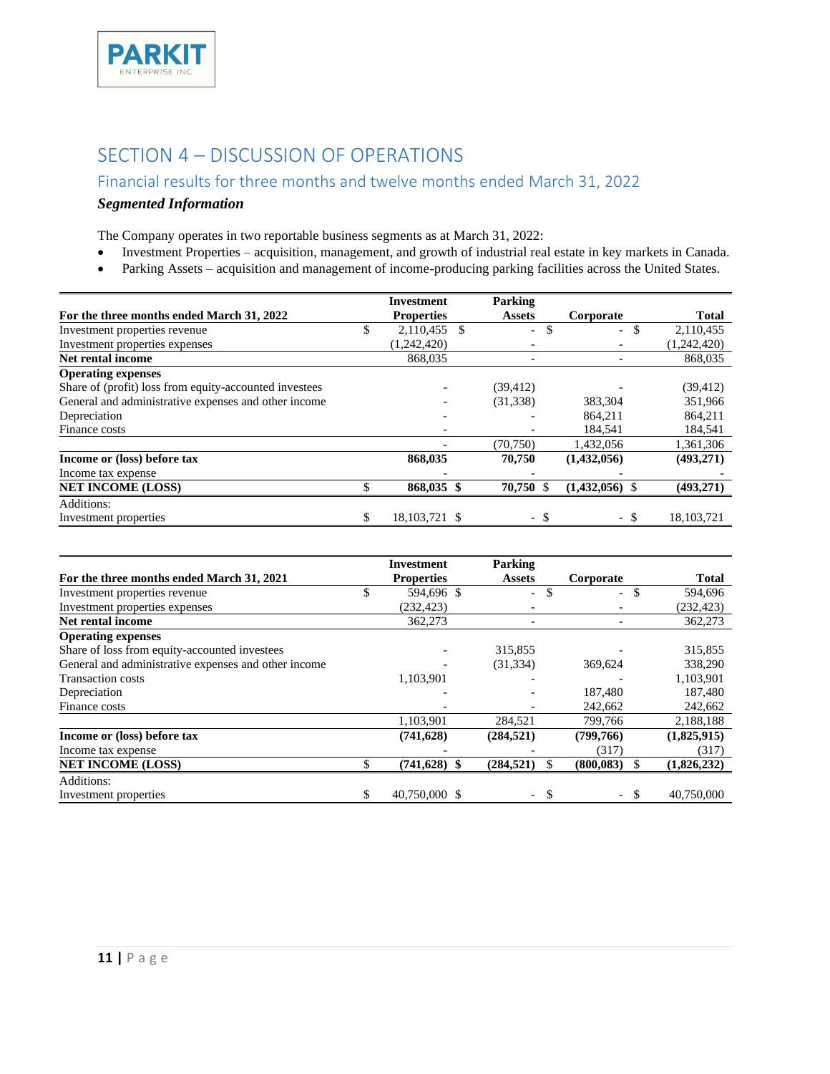

## <span id="page-10-0"></span>SECTION 4 – DISCUSSION OF OPERATIONS

## <span id="page-10-1"></span>Financial results for three months and twelve months ended March 31, 2022

## *Segmented Information*

The Company operates in two reportable business segments as at March 31, 2022:

- Investment Properties acquisition, management, and growth of industrial real estate in key markets in Canada.
- Parking Assets acquisition and management of income-producing parking facilities across the United States.

|                                                        | <b>Investment</b>  | Parking                        |                                 |              |
|--------------------------------------------------------|--------------------|--------------------------------|---------------------------------|--------------|
| For the three months ended March 31, 2022              | <b>Properties</b>  | <b>Assets</b>                  | Corporate                       | <b>Total</b> |
| Investment properties revenue                          | \$<br>2,110,455 \$ | \$<br>$\overline{\phantom{0}}$ | \$.<br>$\overline{\phantom{0}}$ | 2,110,455    |
| Investment properties expenses                         | (1,242,420)        | $\overline{\phantom{a}}$       |                                 | (1,242,420)  |
| Net rental income                                      | 868,035            | $\overline{\phantom{a}}$       | $\overline{a}$                  | 868,035      |
| <b>Operating expenses</b>                              |                    |                                |                                 |              |
| Share of (profit) loss from equity-accounted investees |                    | (39, 412)                      |                                 | (39, 412)    |
| General and administrative expenses and other income   |                    | (31, 338)                      | 383,304                         | 351,966      |
| Depreciation                                           |                    |                                | 864,211                         | 864,211      |
| Finance costs                                          |                    |                                | 184,541                         | 184,541      |
|                                                        |                    | (70, 750)                      | 1,432,056                       | 1,361,306    |
| Income or (loss) before tax                            | 868,035            | 70,750                         | (1,432,056)                     | (493, 271)   |
| Income tax expense                                     |                    |                                |                                 |              |
| <b>NET INCOME (LOSS)</b>                               | 868,035 \$         | 70,750 \$                      | $(1,432,056)$ \$                | (493, 271)   |
| Additions:                                             |                    |                                |                                 |              |
| Investment properties                                  | 18, 103, 721 \$    | - \$                           | - \$                            | 18, 103, 721 |

|                                                      |    | Investment        | Parking                                   |                                |              |
|------------------------------------------------------|----|-------------------|-------------------------------------------|--------------------------------|--------------|
| For the three months ended March 31, 2021            |    | <b>Properties</b> | <b>Assets</b>                             | Corporate                      | <b>Total</b> |
| Investment properties revenue                        | J. | 594,696 \$        | \$<br>$\overline{\phantom{0}}$            | \$<br>$\overline{\phantom{0}}$ | 594,696      |
| Investment properties expenses                       |    | (232, 423)        | $\overline{\phantom{a}}$                  |                                | (232, 423)   |
| Net rental income                                    |    | 362,273           | $\overline{\phantom{a}}$                  |                                | 362,273      |
| <b>Operating expenses</b>                            |    |                   |                                           |                                |              |
| Share of loss from equity-accounted investees        |    |                   | 315,855                                   |                                | 315,855      |
| General and administrative expenses and other income |    |                   | (31, 334)                                 | 369,624                        | 338,290      |
| <b>Transaction costs</b>                             |    | 1,103,901         |                                           |                                | 1,103,901    |
| Depreciation                                         |    |                   |                                           | 187,480                        | 187,480      |
| Finance costs                                        |    |                   | $\overline{\phantom{a}}$                  | 242,662                        | 242,662      |
|                                                      |    | 1,103,901         | 284,521                                   | 799,766                        | 2,188,188    |
| Income or (loss) before tax                          |    | (741, 628)        | (284, 521)                                | (799,766)                      | (1,825,915)  |
| Income tax expense                                   |    |                   |                                           | (317)                          | (317)        |
| <b>NET INCOME (LOSS)</b>                             |    | $(741, 628)$ \$   | (284, 521)<br>S                           | (800, 083)<br>\$               | (1,826,232)  |
| Additions:                                           |    |                   |                                           |                                |              |
| Investment properties                                | \$ | 40,750,000 \$     | <sup>\$</sup><br>$\overline{\phantom{0}}$ | - \$<br>$ \,$                  | 40,750,000   |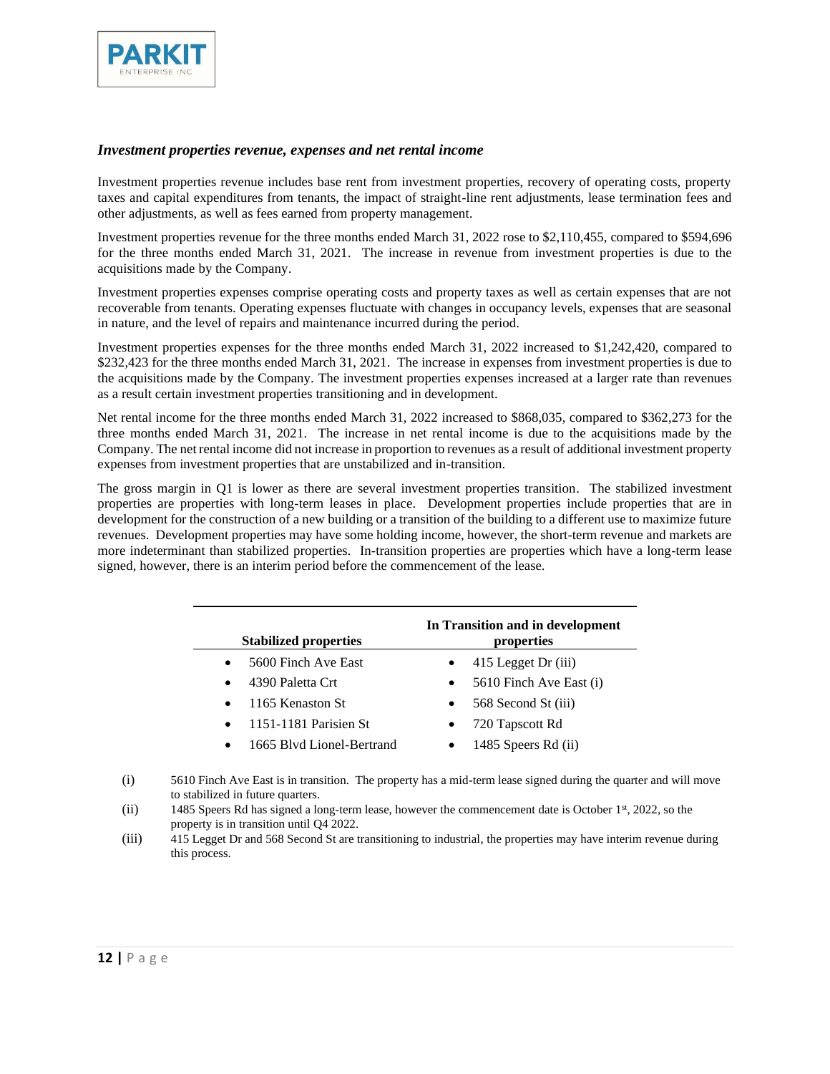

#### *Investment properties revenue, expenses and net rental income*

Investment properties revenue includes base rent from investment properties, recovery of operating costs, property taxes and capital expenditures from tenants, the impact of straight-line rent adjustments, lease termination fees and other adjustments, as well as fees earned from property management.

Investment properties revenue for the three months ended March 31, 2022 rose to \$2,110,455, compared to \$594,696 for the three months ended March 31, 2021. The increase in revenue from investment properties is due to the acquisitions made by the Company.

Investment properties expenses comprise operating costs and property taxes as well as certain expenses that are not recoverable from tenants. Operating expenses fluctuate with changes in occupancy levels, expenses that are seasonal in nature, and the level of repairs and maintenance incurred during the period.

Investment properties expenses for the three months ended March 31, 2022 increased to \$1,242,420, compared to \$232,423 for the three months ended March 31, 2021. The increase in expenses from investment properties is due to the acquisitions made by the Company. The investment properties expenses increased at a larger rate than revenues as a result certain investment properties transitioning and in development.

Net rental income for the three months ended March 31, 2022 increased to \$868,035, compared to \$362,273 for the three months ended March 31, 2021. The increase in net rental income is due to the acquisitions made by the Company. The net rental income did not increase in proportion to revenues as a result of additional investment property expenses from investment properties that are unstabilized and in-transition.

The gross margin in Q1 is lower as there are several investment properties transition. The stabilized investment properties are properties with long-term leases in place. Development properties include properties that are in development for the construction of a new building or a transition of the building to a different use to maximize future revenues. Development properties may have some holding income, however, the short-term revenue and markets are more indeterminant than stabilized properties. In-transition properties are properties which have a long-term lease signed, however, there is an interim period before the commencement of the lease.

| <b>Stabilized properties</b>           | In Transition and in development<br>properties |
|----------------------------------------|------------------------------------------------|
| 5600 Finch Ave East<br>$\bullet$       | 415 Legget Dr (iii)                            |
| 4390 Paletta Crt<br>$\bullet$          | 5610 Finch Ave East (i)<br>$\bullet$           |
| 1165 Kenaston St<br>$\bullet$          | 568 Second St (iii)<br>$\bullet$               |
| 1151-1181 Parisien St<br>$\bullet$     | 720 Tapscott Rd                                |
| 1665 Blyd Lionel-Bertrand<br>$\bullet$ | 1485 Speers Rd (ii)                            |
|                                        |                                                |

- (i) 5610 Finch Ave East is in transition. The property has a mid-term lease signed during the quarter and will move to stabilized in future quarters.
- (ii) 1485 Speers Rd has signed a long-term lease, however the commencement date is October 1<sup>st</sup>, 2022, so the property is in transition until Q4 2022.
- (iii) 415 Legget Dr and 568 Second St are transitioning to industrial, the properties may have interim revenue during this process.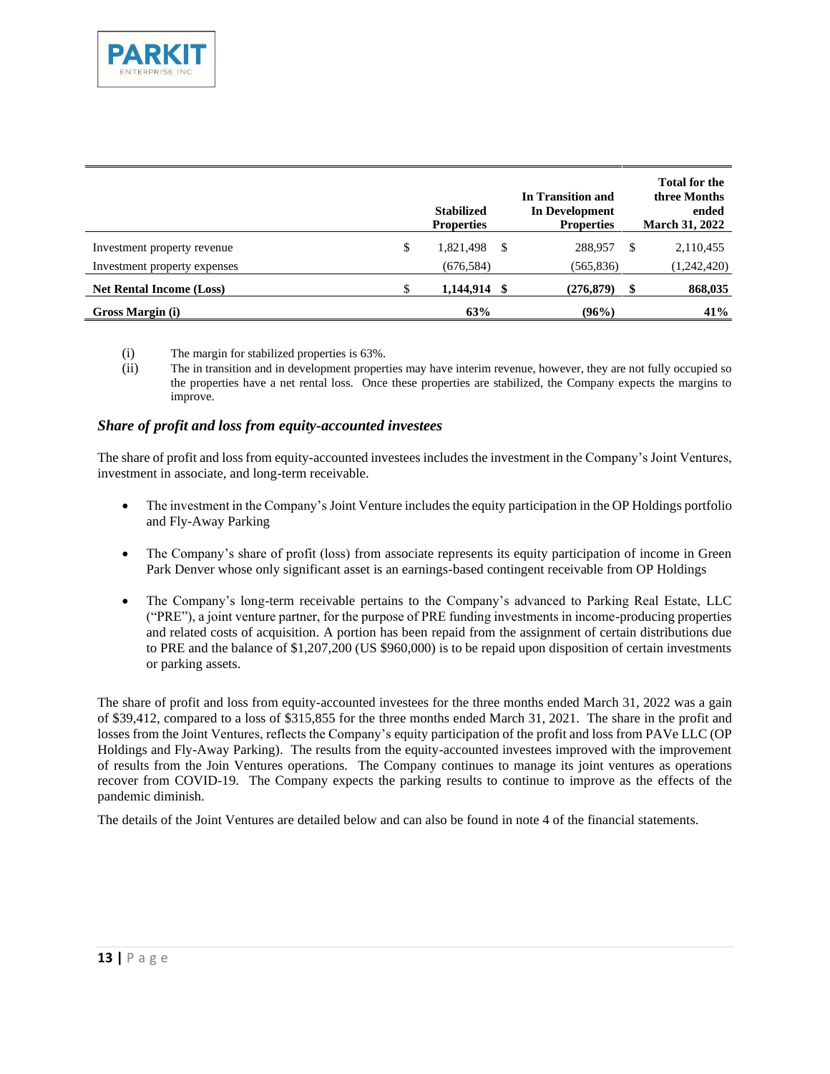

|                                 |    | <b>Stabilized</b><br><b>Properties</b> |      | In Transition and<br><b>In Development</b><br><b>Properties</b> | <b>Total for the</b><br>three Months<br>ended<br><b>March 31, 2022</b> |
|---------------------------------|----|----------------------------------------|------|-----------------------------------------------------------------|------------------------------------------------------------------------|
| Investment property revenue     | \$ | 1,821,498                              | S    | 288,957                                                         | 2,110,455                                                              |
| Investment property expenses    |    | (676, 584)                             |      | (565, 836)                                                      | (1,242,420)                                                            |
| <b>Net Rental Income (Loss)</b> | S  | 1,144,914                              | - \$ | (276, 879)                                                      | \$<br>868,035                                                          |
| Gross Margin (i)                |    | 63%                                    |      | (96%)                                                           | 41%                                                                    |

- (i) The margin for stabilized properties is 63%.
- (ii) The in transition and in development properties may have interim revenue, however, they are not fully occupied so the properties have a net rental loss. Once these properties are stabilized, the Company expects the margins to improve.

#### *Share of profit and loss from equity-accounted investees*

The share of profit and loss from equity-accounted investees includes the investment in the Company's Joint Ventures, investment in associate, and long-term receivable.

- The investment in the Company's Joint Venture includes the equity participation in the OP Holdings portfolio and Fly-Away Parking
- The Company's share of profit (loss) from associate represents its equity participation of income in Green Park Denver whose only significant asset is an earnings-based contingent receivable from OP Holdings
- The Company's long-term receivable pertains to the Company's advanced to Parking Real Estate, LLC ("PRE"), a joint venture partner, for the purpose of PRE funding investments in income-producing properties and related costs of acquisition. A portion has been repaid from the assignment of certain distributions due to PRE and the balance of \$1,207,200 (US \$960,000) is to be repaid upon disposition of certain investments or parking assets.

The share of profit and loss from equity-accounted investees for the three months ended March 31, 2022 was a gain of \$39,412, compared to a loss of \$315,855 for the three months ended March 31, 2021. The share in the profit and losses from the Joint Ventures, reflects the Company's equity participation of the profit and loss from PAVe LLC (OP Holdings and Fly-Away Parking). The results from the equity-accounted investees improved with the improvement of results from the Join Ventures operations. The Company continues to manage its joint ventures as operations recover from COVID-19. The Company expects the parking results to continue to improve as the effects of the pandemic diminish.

The details of the Joint Ventures are detailed below and can also be found in note 4 of the financial statements.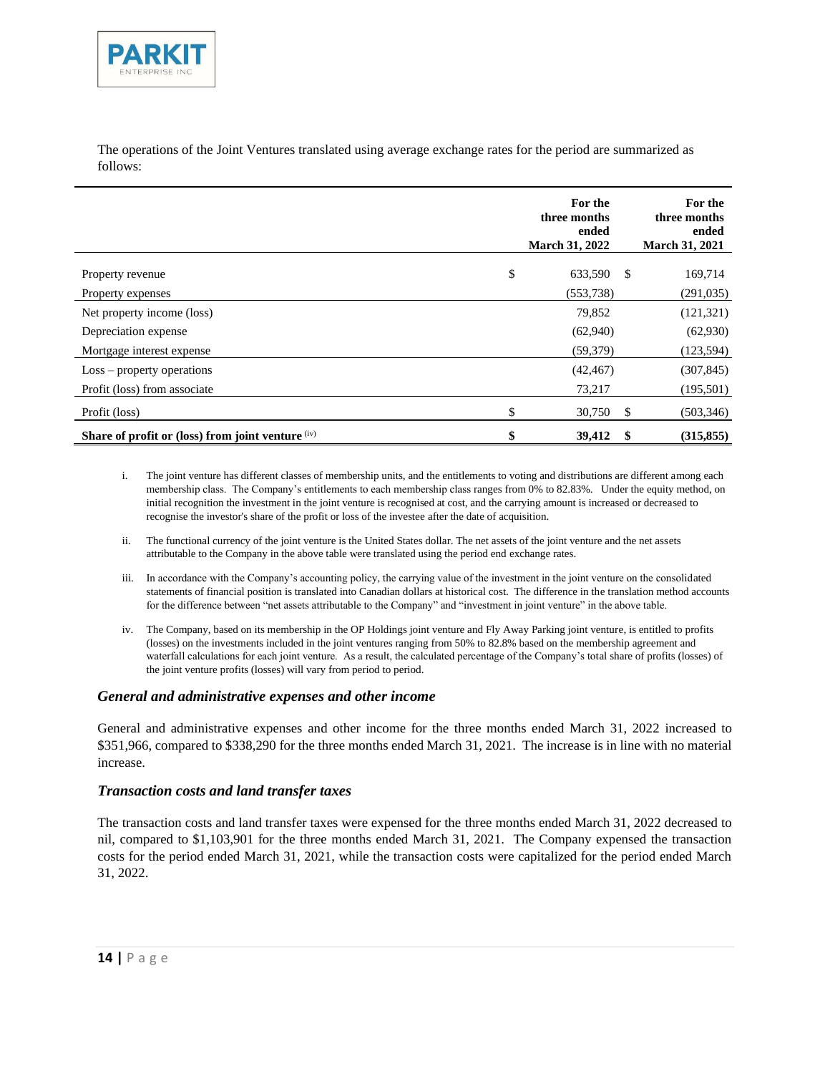

The operations of the Joint Ventures translated using average exchange rates for the period are summarized as follows:

|                                                     | For the<br>three months<br>ended<br><b>March 31, 2022</b> |    | For the<br>three months<br>ended<br><b>March 31, 2021</b> |
|-----------------------------------------------------|-----------------------------------------------------------|----|-----------------------------------------------------------|
| Property revenue                                    | \$<br>633,590                                             | -S | 169,714                                                   |
| Property expenses                                   | (553, 738)                                                |    | (291, 035)                                                |
| Net property income (loss)                          | 79,852                                                    |    | (121, 321)                                                |
| Depreciation expense                                | (62,940)                                                  |    | (62,930)                                                  |
| Mortgage interest expense                           | (59, 379)                                                 |    | (123, 594)                                                |
| $Loss$ – property operations                        | (42, 467)                                                 |    | (307, 845)                                                |
| Profit (loss) from associate                        | 73,217                                                    |    | (195, 501)                                                |
| Profit (loss)                                       | 30,750                                                    | -S | (503, 346)                                                |
| Share of profit or (loss) from joint venture $(iv)$ | \$<br>39,412                                              | -S | (315, 855)                                                |

- i. The joint venture has different classes of membership units, and the entitlements to voting and distributions are different among each membership class. The Company's entitlements to each membership class ranges from 0% to 82.83%. Under the equity method, on initial recognition the investment in the joint venture is recognised at cost, and the carrying amount is increased or decreased to recognise the investor's share of the profit or loss of the investee after the date of acquisition.
- ii. The functional currency of the joint venture is the United States dollar. The net assets of the joint venture and the net assets attributable to the Company in the above table were translated using the period end exchange rates.
- iii. In accordance with the Company's accounting policy, the carrying value of the investment in the joint venture on the consolidated statements of financial position is translated into Canadian dollars at historical cost. The difference in the translation method accounts for the difference between "net assets attributable to the Company" and "investment in joint venture" in the above table.
- iv. The Company, based on its membership in the OP Holdings joint venture and Fly Away Parking joint venture, is entitled to profits (losses) on the investments included in the joint ventures ranging from 50% to 82.8% based on the membership agreement and waterfall calculations for each joint venture. As a result, the calculated percentage of the Company's total share of profits (losses) of the joint venture profits (losses) will vary from period to period.

#### *General and administrative expenses and other income*

General and administrative expenses and other income for the three months ended March 31, 2022 increased to \$351,966, compared to \$338,290 for the three months ended March 31, 2021. The increase is in line with no material increase.

#### *Transaction costs and land transfer taxes*

The transaction costs and land transfer taxes were expensed for the three months ended March 31, 2022 decreased to nil, compared to \$1,103,901 for the three months ended March 31, 2021. The Company expensed the transaction costs for the period ended March 31, 2021, while the transaction costs were capitalized for the period ended March 31, 2022.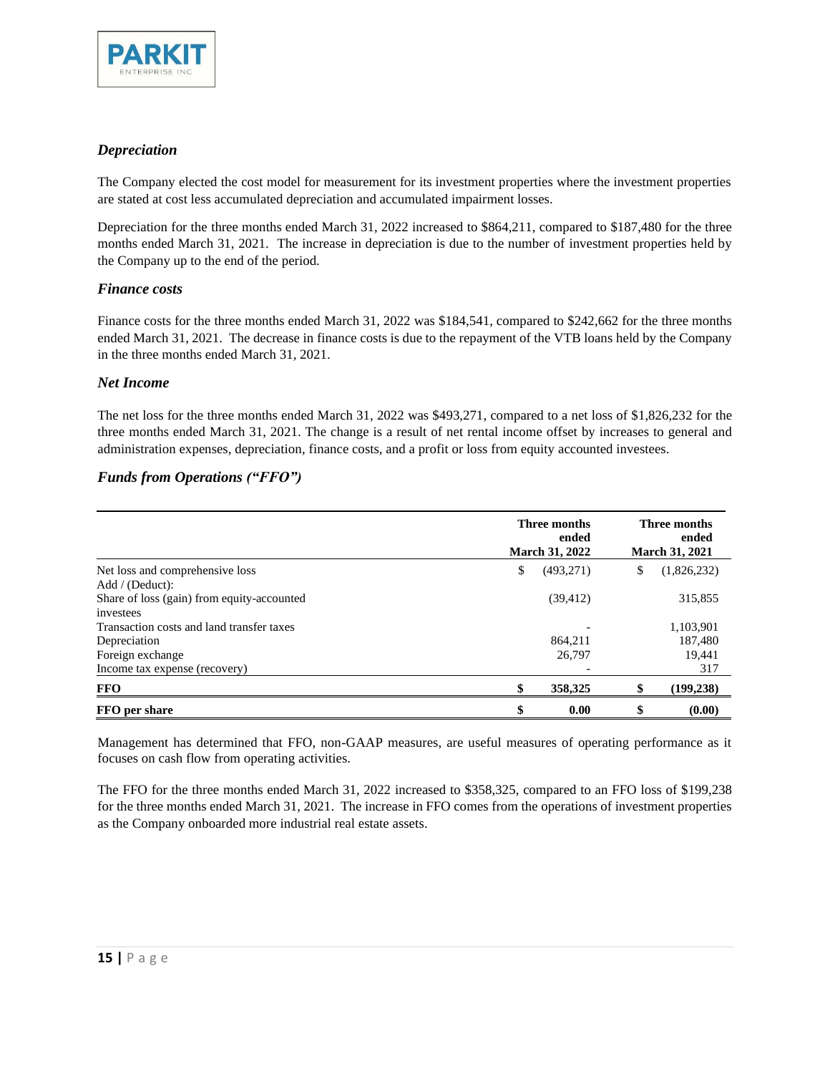

#### *Depreciation*

The Company elected the cost model for measurement for its investment properties where the investment properties are stated at cost less accumulated depreciation and accumulated impairment losses.

Depreciation for the three months ended March 31, 2022 increased to \$864,211, compared to \$187,480 for the three months ended March 31, 2021. The increase in depreciation is due to the number of investment properties held by the Company up to the end of the period.

#### *Finance costs*

Finance costs for the three months ended March 31, 2022 was \$184,541, compared to \$242,662 for the three months ended March 31, 2021. The decrease in finance costs is due to the repayment of the VTB loans held by the Company in the three months ended March 31, 2021.

#### *Net Income*

The net loss for the three months ended March 31, 2022 was \$493,271, compared to a net loss of \$1,826,232 for the three months ended March 31, 2021. The change is a result of net rental income offset by increases to general and administration expenses, depreciation, finance costs, and a profit or loss from equity accounted investees.

#### *Funds from Operations ("FFO")*

|                                            | Three months<br>ended<br><b>March 31, 2022</b> | Three months<br>ended<br><b>March 31, 2021</b> |  |  |
|--------------------------------------------|------------------------------------------------|------------------------------------------------|--|--|
| Net loss and comprehensive loss            | \$<br>(493, 271)                               | \$<br>(1,826,232)                              |  |  |
| Add / (Deduct):                            |                                                |                                                |  |  |
| Share of loss (gain) from equity-accounted | (39, 412)                                      | 315,855                                        |  |  |
| investees                                  |                                                |                                                |  |  |
| Transaction costs and land transfer taxes  |                                                | 1,103,901                                      |  |  |
| Depreciation                               | 864.211                                        | 187,480                                        |  |  |
| Foreign exchange                           | 26,797                                         | 19,441                                         |  |  |
| Income tax expense (recovery)              |                                                | 317                                            |  |  |
| <b>FFO</b>                                 | 358,325<br>\$                                  | (199, 238)                                     |  |  |
| FFO per share                              | \$<br>0.00                                     | (0.00)                                         |  |  |

Management has determined that FFO, non-GAAP measures, are useful measures of operating performance as it focuses on cash flow from operating activities.

The FFO for the three months ended March 31, 2022 increased to \$358,325, compared to an FFO loss of \$199,238 for the three months ended March 31, 2021. The increase in FFO comes from the operations of investment properties as the Company onboarded more industrial real estate assets.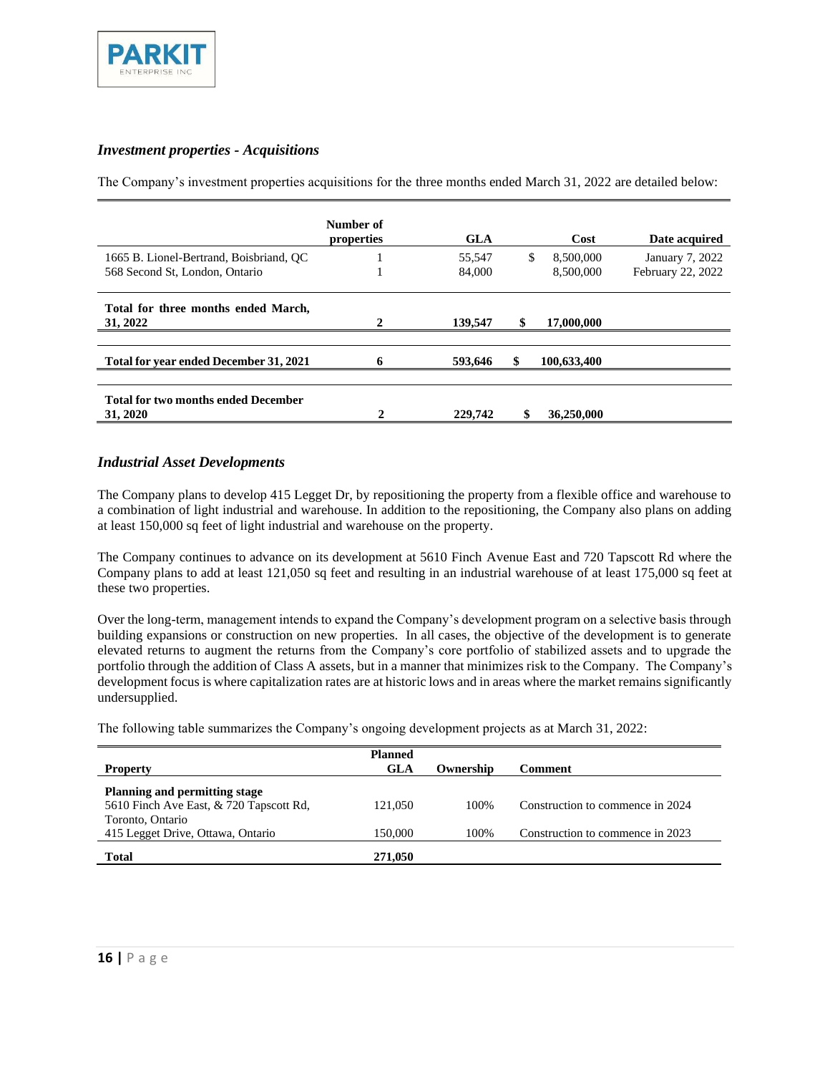

#### *Investment properties - Acquisitions*

The Company's investment properties acquisitions for the three months ended March 31, 2022 are detailed below:

|                                                                           | Number of<br>properties | <b>GLA</b>       |     | Cost                   | Date acquired                        |
|---------------------------------------------------------------------------|-------------------------|------------------|-----|------------------------|--------------------------------------|
| 1665 B. Lionel-Bertrand, Boisbriand, OC<br>568 Second St, London, Ontario |                         | 55,547<br>84,000 | \$. | 8,500,000<br>8,500,000 | January 7, 2022<br>February 22, 2022 |
| Total for three months ended March,<br>31, 2022                           | 2                       | 139,547          | \$  | 17,000,000             |                                      |
| Total for year ended December 31, 2021                                    |                         | 593,646          |     | 100,633,400            |                                      |
| <b>Total for two months ended December</b><br>31, 2020                    |                         | 229,742          | \$  | 36,250,000             |                                      |

#### *Industrial Asset Developments*

The Company plans to develop 415 Legget Dr, by repositioning the property from a flexible office and warehouse to a combination of light industrial and warehouse. In addition to the repositioning, the Company also plans on adding at least 150,000 sq feet of light industrial and warehouse on the property.

The Company continues to advance on its development at 5610 Finch Avenue East and 720 Tapscott Rd where the Company plans to add at least 121,050 sq feet and resulting in an industrial warehouse of at least 175,000 sq feet at these two properties.

Over the long-term, management intends to expand the Company's development program on a selective basis through building expansions or construction on new properties. In all cases, the objective of the development is to generate elevated returns to augment the returns from the Company's core portfolio of stabilized assets and to upgrade the portfolio through the addition of Class A assets, but in a manner that minimizes risk to the Company. The Company's development focus is where capitalization rates are at historic lows and in areas where the market remains significantly undersupplied.

The following table summarizes the Company's ongoing development projects as at March 31, 2022:

| <b>Property</b>                         | <b>Planned</b><br>GLA | Ownership | Comment                          |
|-----------------------------------------|-----------------------|-----------|----------------------------------|
| <b>Planning and permitting stage</b>    |                       |           |                                  |
| 5610 Finch Ave East, & 720 Tapscott Rd, | 121,050               | 100\%     | Construction to commence in 2024 |
| Toronto, Ontario                        |                       |           |                                  |
| 415 Legget Drive, Ottawa, Ontario       | 150.000               | 100%      | Construction to commence in 2023 |
| <b>Total</b>                            | 271,050               |           |                                  |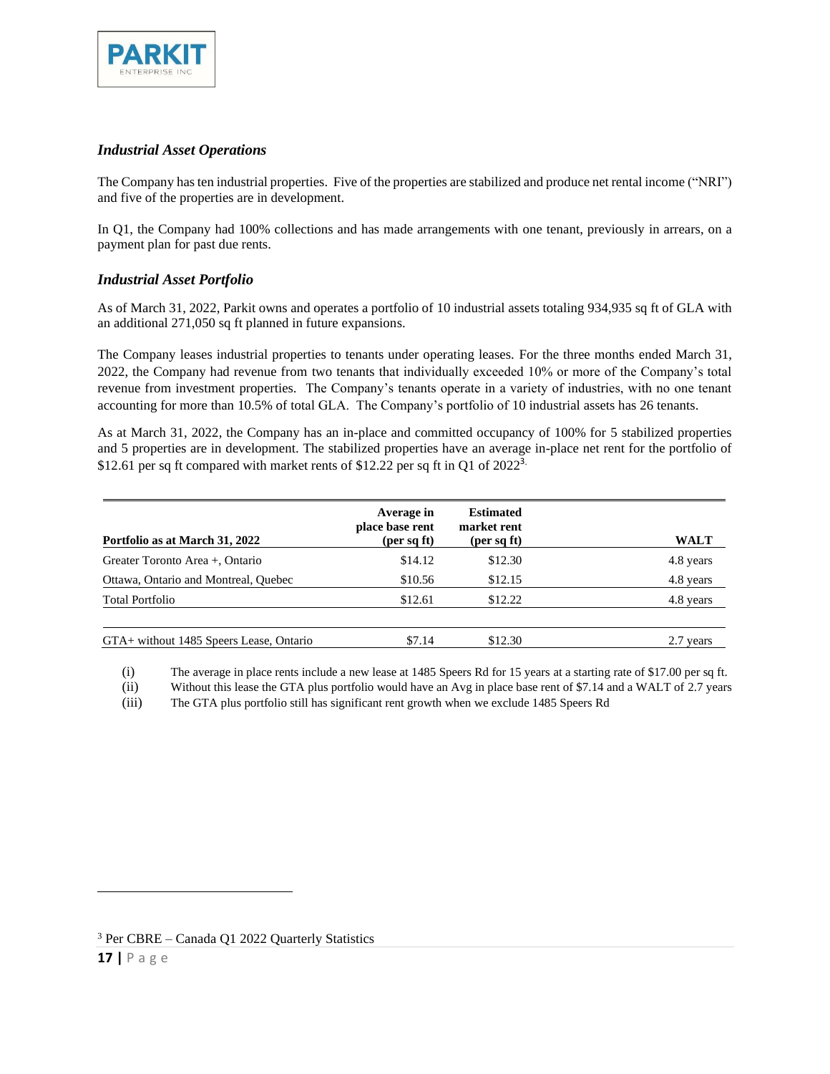

#### *Industrial Asset Operations*

The Company has ten industrial properties. Five of the properties are stabilized and produce net rental income ("NRI") and five of the properties are in development.

In Q1, the Company had 100% collections and has made arrangements with one tenant, previously in arrears, on a payment plan for past due rents.

#### *Industrial Asset Portfolio*

As of March 31, 2022, Parkit owns and operates a portfolio of 10 industrial assets totaling 934,935 sq ft of GLA with an additional 271,050 sq ft planned in future expansions.

The Company leases industrial properties to tenants under operating leases. For the three months ended March 31, 2022, the Company had revenue from two tenants that individually exceeded 10% or more of the Company's total revenue from investment properties. The Company's tenants operate in a variety of industries, with no one tenant accounting for more than 10.5% of total GLA. The Company's portfolio of 10 industrial assets has 26 tenants.

As at March 31, 2022, the Company has an in-place and committed occupancy of 100% for 5 stabilized properties and 5 properties are in development. The stabilized properties have an average in-place net rent for the portfolio of \$12.61 per sq ft compared with market rents of \$12.22 per sq ft in Q1 of  $2022^3$ .

| Portfolio as at March 31, 2022          | Average in<br>place base rent<br>(per sq ft) | <b>Estimated</b><br>market rent<br>(per sq ft) | <b>WALT</b>  |
|-----------------------------------------|----------------------------------------------|------------------------------------------------|--------------|
| Greater Toronto Area +, Ontario         | \$14.12                                      | \$12.30                                        | 4.8 years    |
| Ottawa, Ontario and Montreal, Ouebec    | \$10.56                                      | \$12.15                                        | 4.8 years    |
| <b>Total Portfolio</b>                  | \$12.61                                      | \$12.22                                        | 4.8 years    |
| GTA+ without 1485 Speers Lease, Ontario | \$7.14                                       | \$12.30                                        | 2.7<br>vears |

(i) The average in place rents include a new lease at 1485 Speers Rd for 15 years at a starting rate of \$17.00 per sq ft.

(ii) Without this lease the GTA plus portfolio would have an Avg in place base rent of \$7.14 and a WALT of 2.7 years

(iii) The GTA plus portfolio still has significant rent growth when we exclude 1485 Speers Rd

<sup>3</sup> Per CBRE – Canada Q1 2022 Quarterly Statistics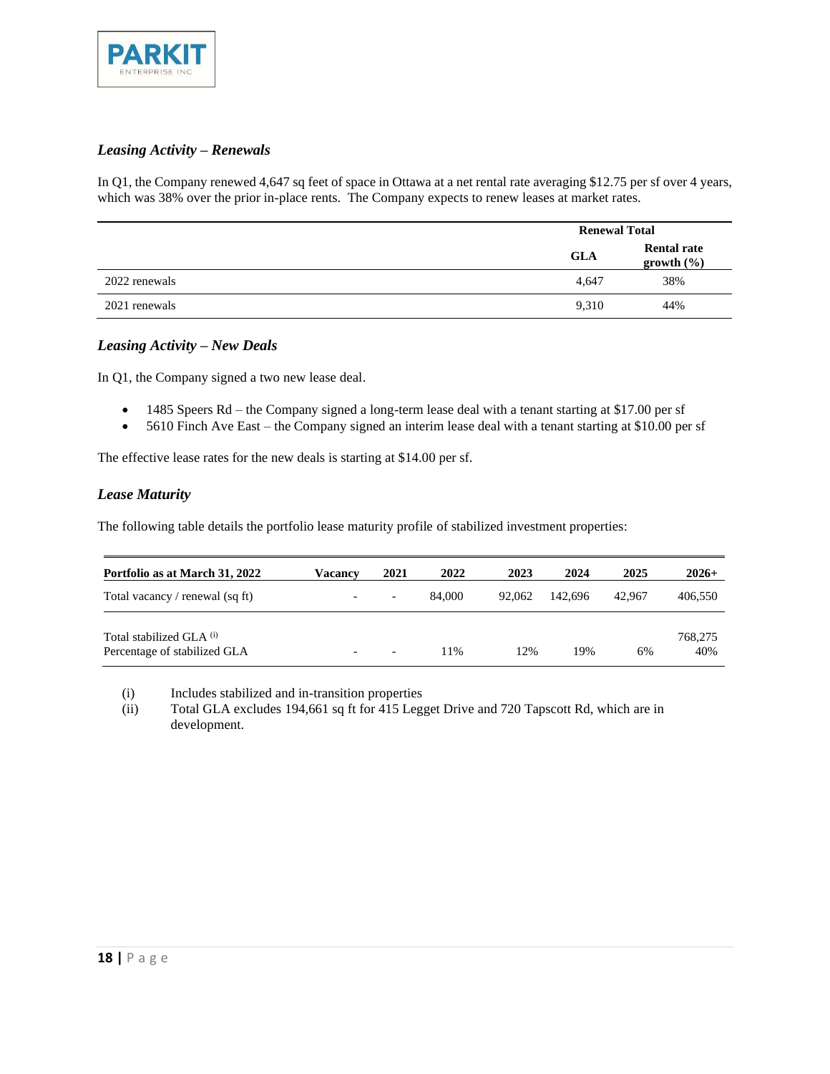

### *Leasing Activity – Renewals*

In Q1, the Company renewed 4,647 sq feet of space in Ottawa at a net rental rate averaging \$12.75 per sf over 4 years, which was 38% over the prior in-place rents. The Company expects to renew leases at market rates.

|               | <b>Renewal Total</b> |                                  |
|---------------|----------------------|----------------------------------|
|               | <b>GLA</b>           | <b>Rental rate</b><br>growth (%) |
| 2022 renewals | 4,647                | 38%                              |
| 2021 renewals | 9,310                | 44%                              |

#### *Leasing Activity – New Deals*

In Q1, the Company signed a two new lease deal.

- 1485 Speers Rd the Company signed a long-term lease deal with a tenant starting at \$17.00 per sf
- 5610 Finch Ave East the Company signed an interim lease deal with a tenant starting at \$10.00 per sf

The effective lease rates for the new deals is starting at \$14.00 per sf.

#### *Lease Maturity*

The following table details the portfolio lease maturity profile of stabilized investment properties:

| Portfolio as at March 31, 2022                                      | Vacancv                  | 2021                     | 2022   | 2023   | 2024    | 2025   | $2026+$        |
|---------------------------------------------------------------------|--------------------------|--------------------------|--------|--------|---------|--------|----------------|
| Total vacancy / renewal (sq ft)                                     | $\overline{\phantom{a}}$ | $\overline{\phantom{0}}$ | 84,000 | 92,062 | 142.696 | 42,967 | 406,550        |
| Total stabilized GLA <sup>(i)</sup><br>Percentage of stabilized GLA | $\overline{\phantom{a}}$ | $\overline{\phantom{0}}$ | 11%    | 12%    | 19%     | 6%     | 768,275<br>40% |

(i) Includes stabilized and in-transition properties

(ii) Total GLA excludes 194,661 sq ft for 415 Legget Drive and 720 Tapscott Rd, which are in development.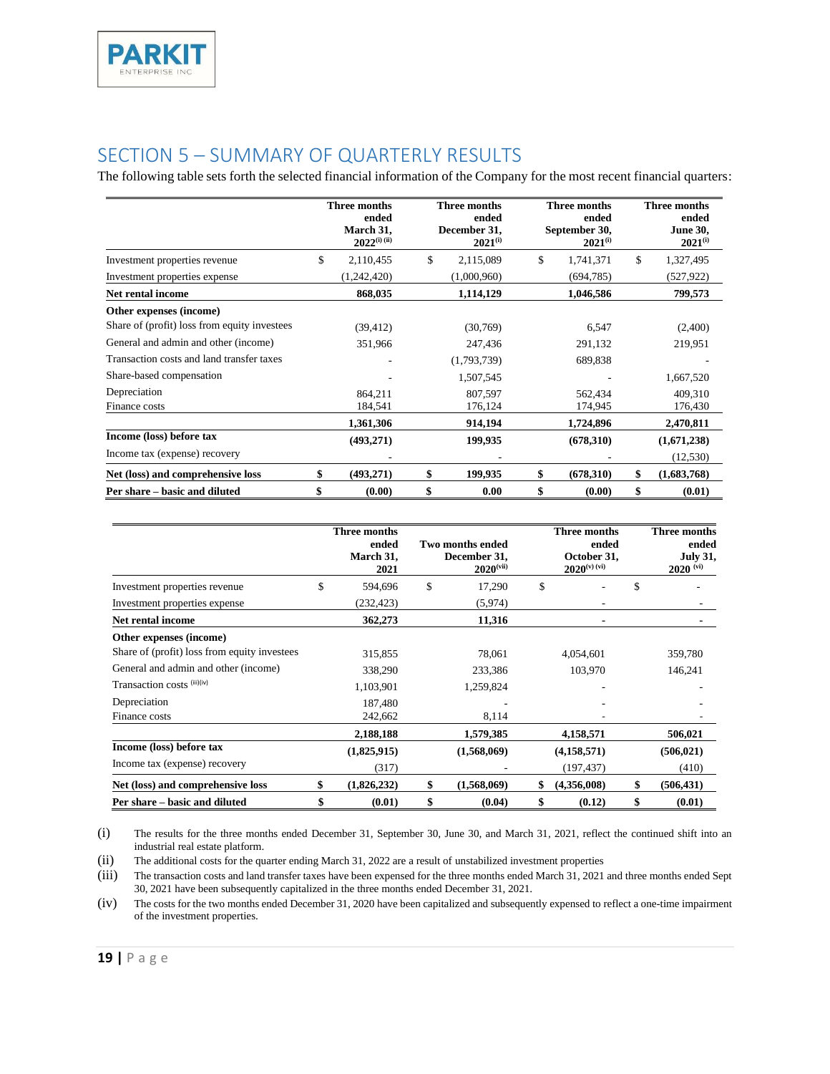## <span id="page-18-0"></span>SECTION 5 – SUMMARY OF QUARTERLY RESULTS

The following table sets forth the selected financial information of the Company for the most recent financial quarters:

|                                              | Three months<br>ended<br>March 31,<br>$2022^{(i) (ii)}$ | <b>Three months</b><br>ended<br>December 31,<br>$2021^{(i)}$ | Three months<br>ended<br>September 30,<br>$2021^{(i)}$ | Three months<br>ended<br><b>June 30,</b><br>$2021^{(i)}$ |
|----------------------------------------------|---------------------------------------------------------|--------------------------------------------------------------|--------------------------------------------------------|----------------------------------------------------------|
| Investment properties revenue                | \$<br>2,110,455                                         | \$<br>2,115,089                                              | \$<br>1,741,371                                        | \$<br>1,327,495                                          |
| Investment properties expense                | (1,242,420)                                             | (1,000,960)                                                  | (694, 785)                                             | (527, 922)                                               |
| Net rental income                            | 868,035                                                 | 1,114,129                                                    | 1,046,586                                              | 799,573                                                  |
| Other expenses (income)                      |                                                         |                                                              |                                                        |                                                          |
| Share of (profit) loss from equity investees | (39, 412)                                               | (30,769)                                                     | 6,547                                                  | (2,400)                                                  |
| General and admin and other (income)         | 351,966                                                 | 247,436                                                      | 291,132                                                | 219,951                                                  |
| Transaction costs and land transfer taxes    |                                                         | (1,793,739)                                                  | 689,838                                                |                                                          |
| Share-based compensation                     |                                                         | 1,507,545                                                    |                                                        | 1,667,520                                                |
| Depreciation                                 | 864,211                                                 | 807,597                                                      | 562,434                                                | 409,310                                                  |
| Finance costs                                | 184,541                                                 | 176,124                                                      | 174,945                                                | 176,430                                                  |
|                                              | 1,361,306                                               | 914,194                                                      | 1,724,896                                              | 2,470,811                                                |
| Income (loss) before tax                     | (493,271)                                               | 199,935                                                      | (678,310)                                              | (1,671,238)                                              |
| Income tax (expense) recovery                |                                                         |                                                              |                                                        | (12, 530)                                                |
| Net (loss) and comprehensive loss            | \$<br>(493, 271)                                        | \$<br>199,935                                                | \$<br>(678,310)                                        | \$<br>(1,683,768)                                        |
| Per share – basic and diluted                | \$<br>(0.00)                                            | \$<br>0.00                                                   | \$<br>(0.00)                                           | \$<br>(0.01)                                             |

|                                              | Three months<br>ended<br>March 31,<br>2021 | <b>Two months ended</b><br>December 31,<br>$2020$ <sup>(vii)</sup> | Three months<br>ended<br>October 31,<br>$2020^{(v)(vi)}$ | Three months<br>ended<br><b>July 31,</b><br>$2020$ <sup>(vi)</sup> |
|----------------------------------------------|--------------------------------------------|--------------------------------------------------------------------|----------------------------------------------------------|--------------------------------------------------------------------|
| Investment properties revenue                | \$<br>594,696                              | \$<br>17,290                                                       | \$                                                       | \$                                                                 |
| Investment properties expense                | (232, 423)                                 | (5,974)                                                            |                                                          |                                                                    |
| <b>Net rental income</b>                     | 362,273                                    | 11,316                                                             |                                                          |                                                                    |
| Other expenses (income)                      |                                            |                                                                    |                                                          |                                                                    |
| Share of (profit) loss from equity investees | 315,855                                    | 78.061                                                             | 4,054,601                                                | 359,780                                                            |
| General and admin and other (income)         | 338,290                                    | 233,386                                                            | 103,970                                                  | 146,241                                                            |
| Transaction costs (iii)(iv)                  | 1,103,901                                  | 1,259,824                                                          |                                                          |                                                                    |
| Depreciation                                 | 187,480                                    |                                                                    |                                                          |                                                                    |
| Finance costs                                | 242,662                                    | 8,114                                                              |                                                          |                                                                    |
|                                              | 2,188,188                                  | 1,579,385                                                          | 4,158,571                                                | 506,021                                                            |
| Income (loss) before tax                     | (1,825,915)                                | (1,568,069)                                                        | (4,158,571)                                              | (506, 021)                                                         |
| Income tax (expense) recovery                | (317)                                      |                                                                    | (197, 437)                                               | (410)                                                              |
| Net (loss) and comprehensive loss            | \$<br>(1,826,232)                          | \$<br>(1,568,069)                                                  | \$<br>(4,356,008)                                        | \$<br>(506, 431)                                                   |
| Per share – basic and diluted                | \$<br>(0.01)                               | \$<br>(0.04)                                                       | \$<br>(0.12)                                             | \$<br>(0.01)                                                       |

(i) The results for the three months ended December 31, September 30, June 30, and March 31, 2021, reflect the continued shift into an industrial real estate platform.

(ii) The additional costs for the quarter ending March 31, 2022 are a result of unstabilized investment properties

(iii) The transaction costs and land transfer taxes have been expensed for the three months ended March 31, 2021 and three months ended Sept 30, 2021 have been subsequently capitalized in the three months ended December 31, 2021.

(iv) The costs for the two months ended December 31, 2020 have been capitalized and subsequently expensed to reflect a one-time impairment of the investment properties.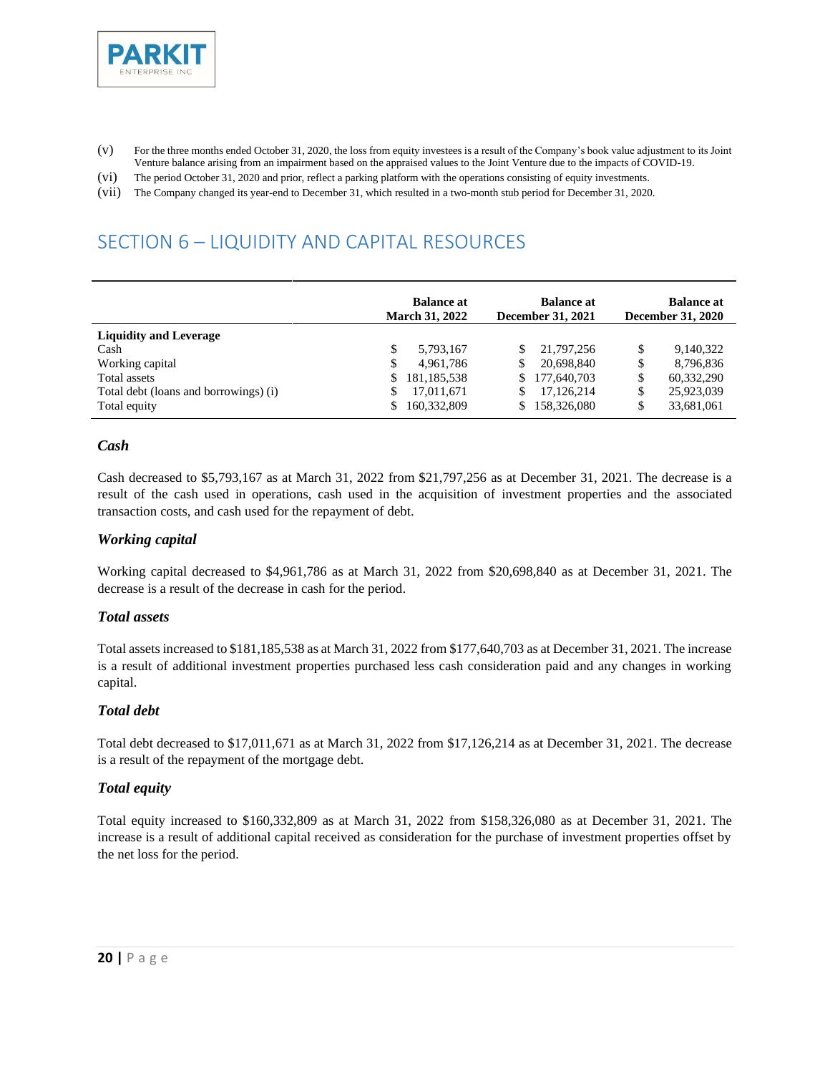

- (v) For the three months ended October 31, 2020, the loss from equity investees is a result of the Company's book value adjustment to its Joint Venture balance arising from an impairment based on the appraised values to the Joint Venture due to the impacts of COVID-19.
- (vi) The period October 31, 2020 and prior, reflect a parking platform with the operations consisting of equity investments.
- (vii) The Company changed its year-end to December 31, which resulted in a two-month stub period for December 31, 2020.

# <span id="page-19-0"></span>SECTION 6 – LIQUIDITY AND CAPITAL RESOURCES

|                                       | <b>Balance at</b><br><b>Balance at</b><br><b>March 31, 2022</b><br><b>December 31, 2021</b> |               | <b>Balance at</b><br><b>December 31, 2020</b> |             |    |            |
|---------------------------------------|---------------------------------------------------------------------------------------------|---------------|-----------------------------------------------|-------------|----|------------|
| <b>Liquidity and Leverage</b>         |                                                                                             |               |                                               |             |    |            |
| Cash                                  | S                                                                                           | 5,793,167     |                                               | 21.797.256  | \$ | 9,140,322  |
| Working capital                       | \$                                                                                          | 4,961,786     |                                               | 20,698,840  | \$ | 8,796,836  |
| Total assets                          | \$                                                                                          | 181, 185, 538 | S.                                            | 177,640,703 | \$ | 60,332,290 |
| Total debt (loans and borrowings) (i) | S                                                                                           | 17,011,671    |                                               | 17,126,214  | \$ | 25,923,039 |
| Total equity                          |                                                                                             | 160,332,809   | S.                                            | 158,326,080 | \$ | 33,681,061 |

#### *Cash*

Cash decreased to \$5,793,167 as at March 31, 2022 from \$21,797,256 as at December 31, 2021. The decrease is a result of the cash used in operations, cash used in the acquisition of investment properties and the associated transaction costs, and cash used for the repayment of debt.

#### *Working capital*

Working capital decreased to \$4,961,786 as at March 31, 2022 from \$20,698,840 as at December 31, 2021. The decrease is a result of the decrease in cash for the period.

#### *Total assets*

Total assets increased to \$181,185,538 as at March 31, 2022 from \$177,640,703 as at December 31, 2021. The increase is a result of additional investment properties purchased less cash consideration paid and any changes in working capital.

#### *Total debt*

Total debt decreased to \$17,011,671 as at March 31, 2022 from \$17,126,214 as at December 31, 2021. The decrease is a result of the repayment of the mortgage debt.

#### *Total equity*

Total equity increased to \$160,332,809 as at March 31, 2022 from \$158,326,080 as at December 31, 2021. The increase is a result of additional capital received as consideration for the purchase of investment properties offset by the net loss for the period.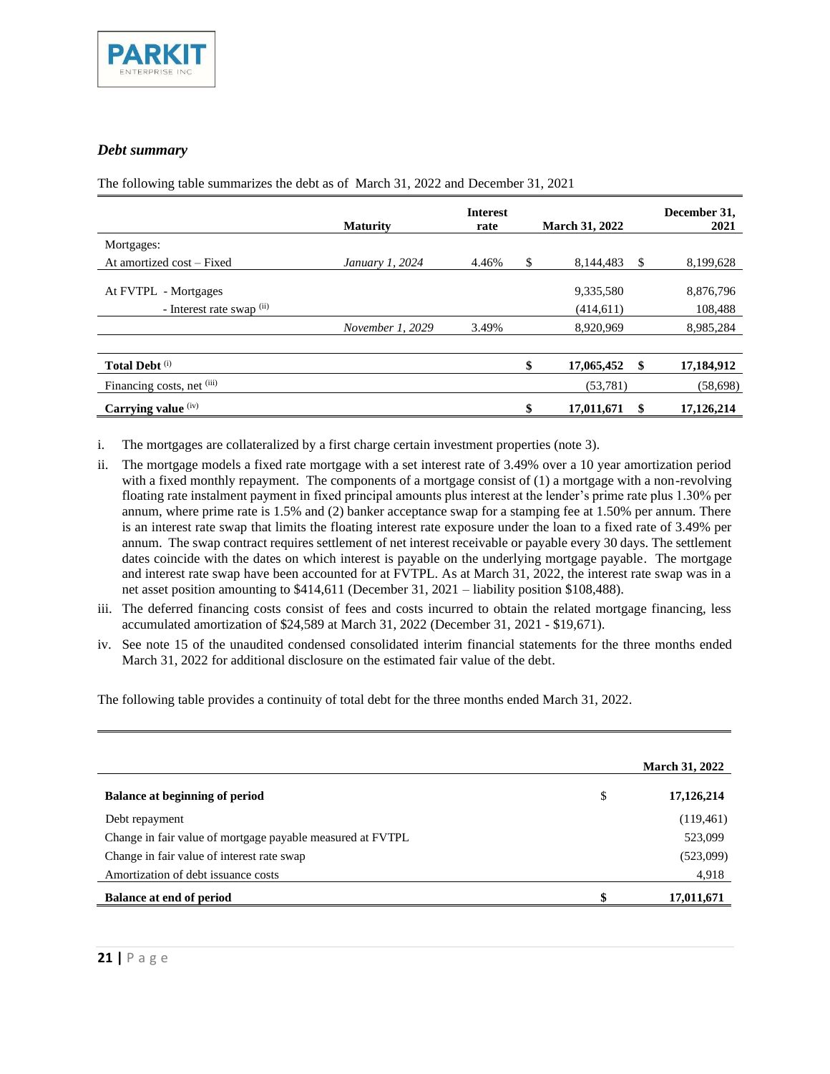

#### *Debt summary*

The following table summarizes the debt as of March 31, 2022 and December 31, 2021

|                                                   | <b>Maturity</b>  | <b>Interest</b><br>rate | <b>March 31, 2022</b>   |          | December 31,<br>2021 |
|---------------------------------------------------|------------------|-------------------------|-------------------------|----------|----------------------|
| Mortgages:                                        |                  |                         |                         |          |                      |
| At amortized cost – Fixed                         | January 1, 2024  | 4.46%                   | \$<br>8.144.483         | <b>S</b> | 8,199,628            |
| At FVTPL - Mortgages<br>- Interest rate swap (ii) |                  |                         | 9,335,580<br>(414, 611) |          | 8,876,796<br>108,488 |
|                                                   | November 1, 2029 | 3.49%                   | 8,920,969               |          | 8,985,284            |
|                                                   |                  |                         |                         |          |                      |
| <b>Total Debt</b> <sup>(i)</sup>                  |                  |                         | \$<br>17,065,452        | \$.      | 17,184,912           |
| Financing costs, net (iii)                        |                  |                         | (53, 781)               |          | (58,698)             |
| Carrying value (iv)                               |                  |                         | \$<br>17,011,671        | S        | 17,126,214           |

i. The mortgages are collateralized by a first charge certain investment properties (note 3).

- ii. The mortgage models a fixed rate mortgage with a set interest rate of 3.49% over a 10 year amortization period with a fixed monthly repayment. The components of a mortgage consist of (1) a mortgage with a non-revolving floating rate instalment payment in fixed principal amounts plus interest at the lender's prime rate plus 1.30% per annum, where prime rate is 1.5% and (2) banker acceptance swap for a stamping fee at 1.50% per annum. There is an interest rate swap that limits the floating interest rate exposure under the loan to a fixed rate of 3.49% per annum. The swap contract requires settlement of net interest receivable or payable every 30 days. The settlement dates coincide with the dates on which interest is payable on the underlying mortgage payable. The mortgage and interest rate swap have been accounted for at FVTPL. As at March 31, 2022, the interest rate swap was in a net asset position amounting to \$414,611 (December 31, 2021 – liability position \$108,488).
- iii. The deferred financing costs consist of fees and costs incurred to obtain the related mortgage financing, less accumulated amortization of \$24,589 at March 31, 2022 (December 31, 2021 - \$19,671).
- iv. See note 15 of the unaudited condensed consolidated interim financial statements for the three months ended March 31, 2022 for additional disclosure on the estimated fair value of the debt.

The following table provides a continuity of total debt for the three months ended March 31, 2022.

|                                                            | <b>March 31, 2022</b> |
|------------------------------------------------------------|-----------------------|
| <b>Balance at beginning of period</b>                      | \$<br>17,126,214      |
| Debt repayment                                             | (119, 461)            |
| Change in fair value of mortgage payable measured at FVTPL | 523,099               |
| Change in fair value of interest rate swap                 | (523,099)             |
| Amortization of debt issuance costs                        | 4,918                 |
| <b>Balance at end of period</b>                            | 17,011,671            |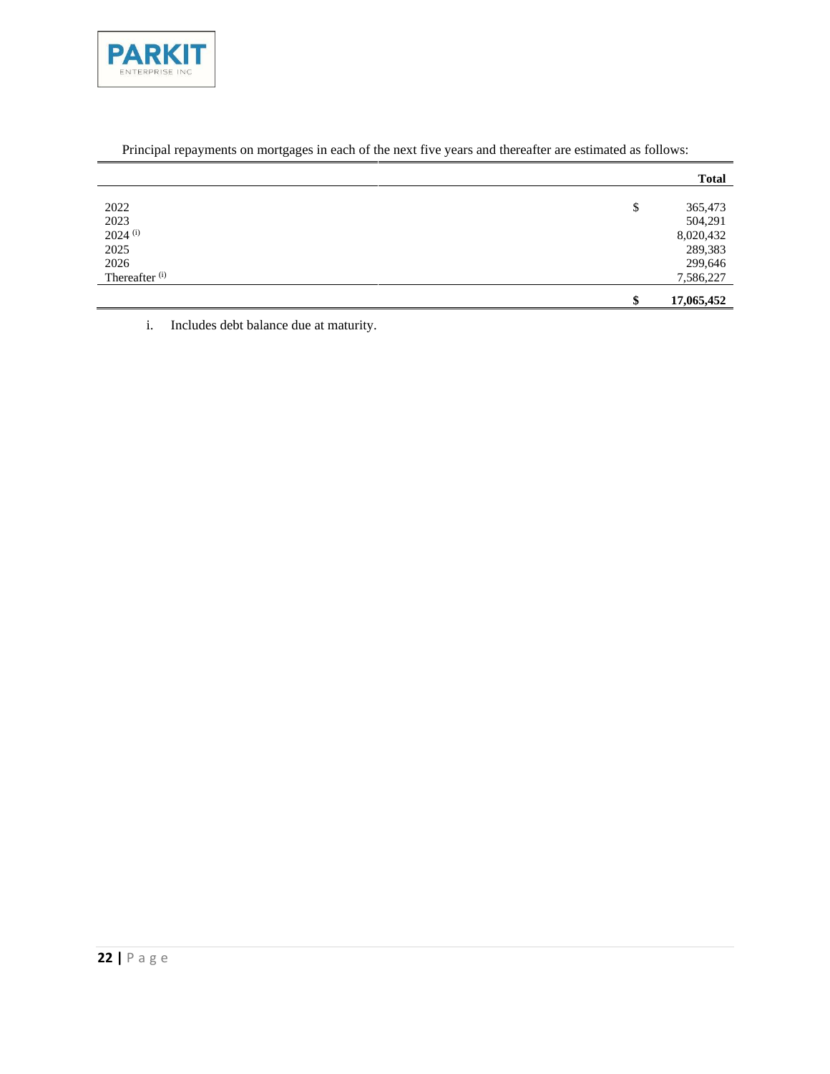

|                           | <b>Total</b>     |
|---------------------------|------------------|
|                           |                  |
| 2022                      | \$<br>365,473    |
| 2023                      | 504,291          |
| $2024$ <sup>(i)</sup>     | 8,020,432        |
| 2025                      | 289,383          |
| 2026                      | 299,646          |
| Thereafter <sup>(i)</sup> | 7,586,227        |
|                           | \$<br>17,065,452 |

## Principal repayments on mortgages in each of the next five years and thereafter are estimated as follows:

i. Includes debt balance due at maturity.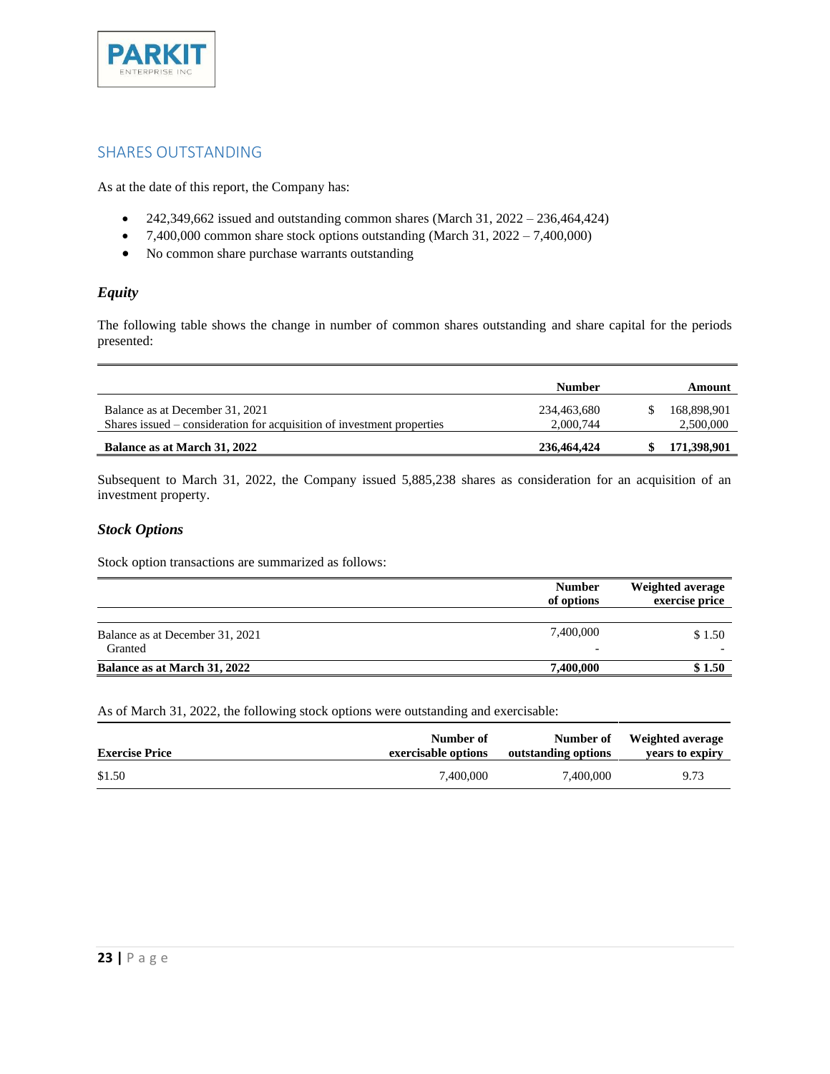

## <span id="page-22-0"></span>SHARES OUTSTANDING

As at the date of this report, the Company has:

- 242,349,662 issued and outstanding common shares (March 31,  $2022 236,464,424$ )
- $7,400,000$  common share stock options outstanding (March 31,  $2022 7,400,000$ )
- No common share purchase warrants outstanding

#### *Equity*

The following table shows the change in number of common shares outstanding and share capital for the periods presented:

|                                                                                                           | Number                   | Amount                   |
|-----------------------------------------------------------------------------------------------------------|--------------------------|--------------------------|
| Balance as at December 31, 2021<br>Shares issued – consideration for acquisition of investment properties | 234,463,680<br>2,000,744 | 168,898,901<br>2,500,000 |
| Balance as at March 31, 2022                                                                              | 236,464,424              | 171,398,901              |

Subsequent to March 31, 2022, the Company issued 5,885,238 shares as consideration for an acquisition of an investment property.

#### *Stock Options*

Stock option transactions are summarized as follows:

|                                            | <b>Number</b><br>of options           | <b>Weighted average</b><br>exercise price |  |
|--------------------------------------------|---------------------------------------|-------------------------------------------|--|
| Balance as at December 31, 2021<br>Granted | 7,400,000<br>$\overline{\phantom{0}}$ | \$1.50                                    |  |
| Balance as at March 31, 2022               | 7.400.000                             | \$1.50                                    |  |

As of March 31, 2022, the following stock options were outstanding and exercisable:

| <b>Exercise Price</b> | Number of           | Number of           | Weighted average |
|-----------------------|---------------------|---------------------|------------------|
|                       | exercisable options | outstanding options | vears to expiry  |
| \$1.50                | 7.400,000           | 7.400.000           | 9.73             |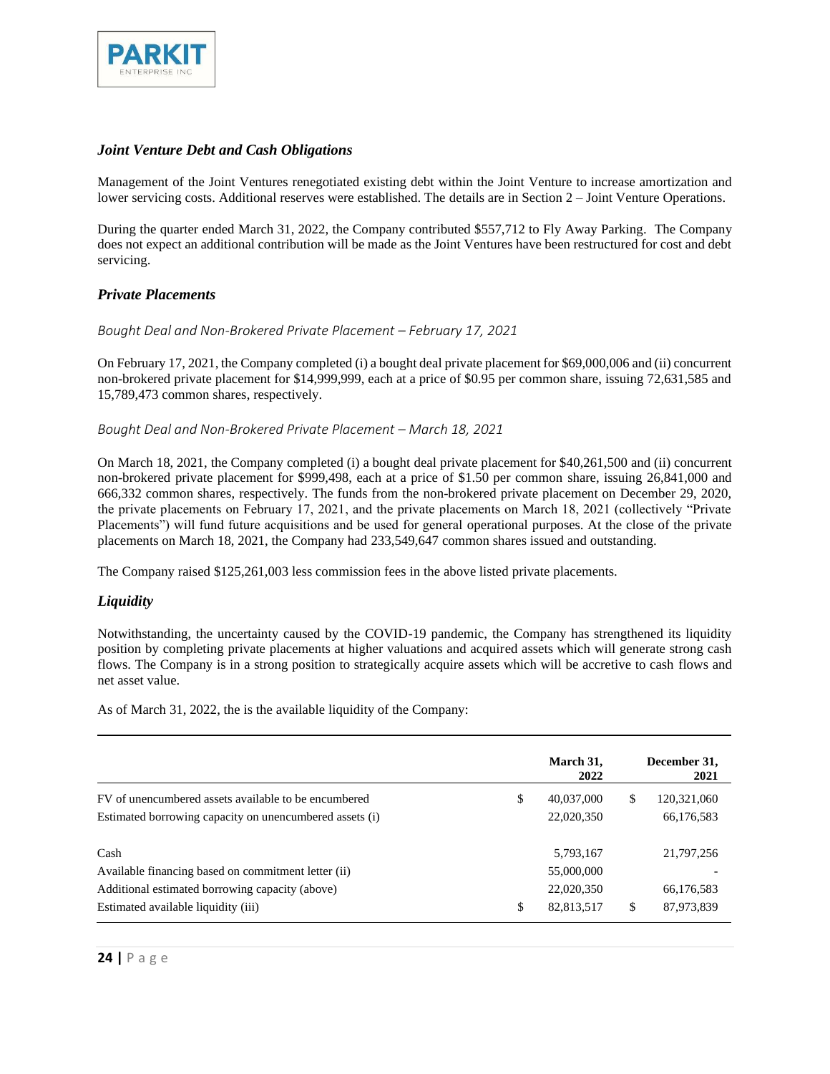

#### *Joint Venture Debt and Cash Obligations*

Management of the Joint Ventures renegotiated existing debt within the Joint Venture to increase amortization and lower servicing costs. Additional reserves were established. The details are in Section 2 – Joint Venture Operations.

During the quarter ended March 31, 2022, the Company contributed \$557,712 to Fly Away Parking. The Company does not expect an additional contribution will be made as the Joint Ventures have been restructured for cost and debt servicing.

#### *Private Placements*

#### *Bought Deal and Non-Brokered Private Placement – February 17, 2021*

On February 17, 2021, the Company completed (i) a bought deal private placement for \$69,000,006 and (ii) concurrent non-brokered private placement for \$14,999,999, each at a price of \$0.95 per common share, issuing 72,631,585 and 15,789,473 common shares, respectively.

#### *Bought Deal and Non-Brokered Private Placement – March 18, 2021*

On March 18, 2021, the Company completed (i) a bought deal private placement for \$40,261,500 and (ii) concurrent non-brokered private placement for \$999,498, each at a price of \$1.50 per common share, issuing 26,841,000 and 666,332 common shares, respectively. The funds from the non-brokered private placement on December 29, 2020, the private placements on February 17, 2021, and the private placements on March 18, 2021 (collectively "Private Placements") will fund future acquisitions and be used for general operational purposes. At the close of the private placements on March 18, 2021, the Company had 233,549,647 common shares issued and outstanding.

The Company raised \$125,261,003 less commission fees in the above listed private placements.

#### *Liquidity*

Notwithstanding, the uncertainty caused by the COVID-19 pandemic, the Company has strengthened its liquidity position by completing private placements at higher valuations and acquired assets which will generate strong cash flows. The Company is in a strong position to strategically acquire assets which will be accretive to cash flows and net asset value.

As of March 31, 2022, the is the available liquidity of the Company:

|                                                         | March 31,<br>2022 |     | December 31,<br>2021 |
|---------------------------------------------------------|-------------------|-----|----------------------|
| FV of unencumbered assets available to be encumbered    | \$<br>40,037,000  | \$. | 120,321,060          |
| Estimated borrowing capacity on unencumbered assets (i) | 22,020,350        |     | 66,176,583           |
| Cash                                                    | 5,793,167         |     | 21,797,256           |
| Available financing based on commitment letter (ii)     | 55,000,000        |     |                      |
| Additional estimated borrowing capacity (above)         | 22,020,350        |     | 66,176,583           |
| Estimated available liquidity (iii)                     | \$<br>82,813,517  | \$. | 87,973,839           |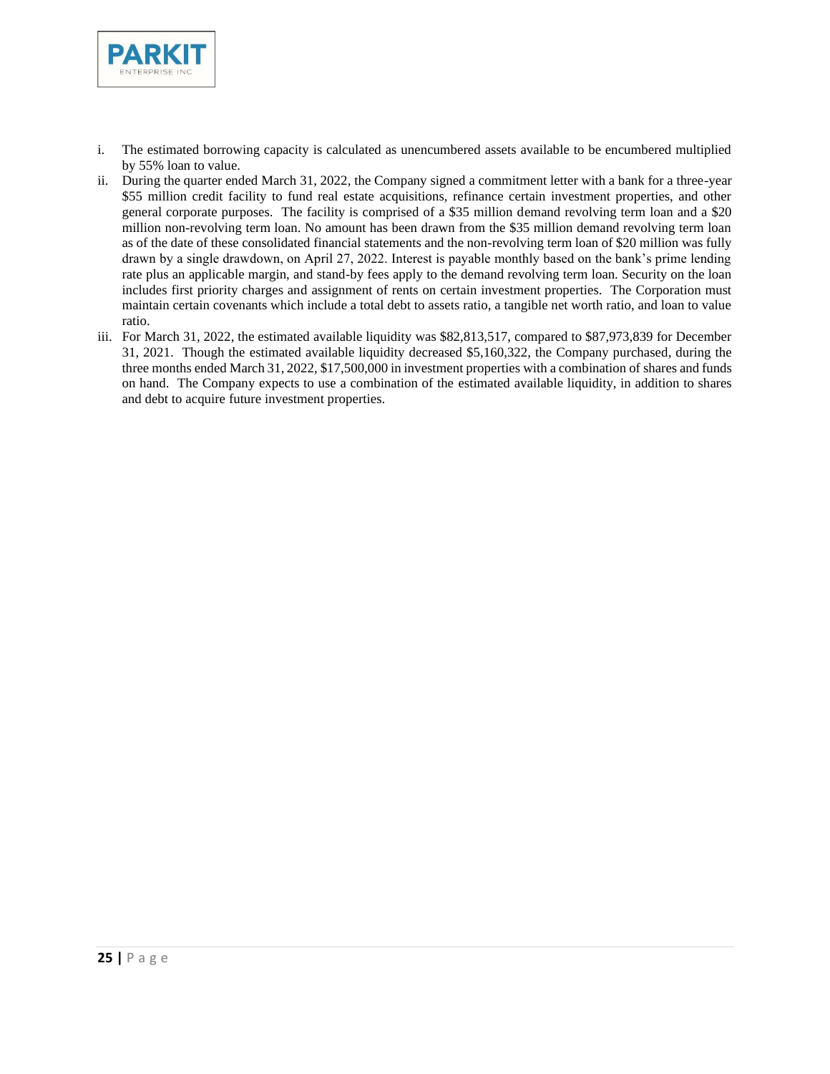

- i. The estimated borrowing capacity is calculated as unencumbered assets available to be encumbered multiplied by 55% loan to value.
- ii. During the quarter ended March 31, 2022, the Company signed a commitment letter with a bank for a three-year \$55 million credit facility to fund real estate acquisitions, refinance certain investment properties, and other general corporate purposes. The facility is comprised of a \$35 million demand revolving term loan and a \$20 million non-revolving term loan. No amount has been drawn from the \$35 million demand revolving term loan as of the date of these consolidated financial statements and the non-revolving term loan of \$20 million was fully drawn by a single drawdown, on April 27, 2022. Interest is payable monthly based on the bank's prime lending rate plus an applicable margin, and stand-by fees apply to the demand revolving term loan. Security on the loan includes first priority charges and assignment of rents on certain investment properties. The Corporation must maintain certain covenants which include a total debt to assets ratio, a tangible net worth ratio, and loan to value ratio.
- iii. For March 31, 2022, the estimated available liquidity was \$82,813,517, compared to \$87,973,839 for December 31, 2021. Though the estimated available liquidity decreased \$5,160,322, the Company purchased, during the three months ended March 31, 2022, \$17,500,000 in investment properties with a combination of shares and funds on hand. The Company expects to use a combination of the estimated available liquidity, in addition to shares and debt to acquire future investment properties.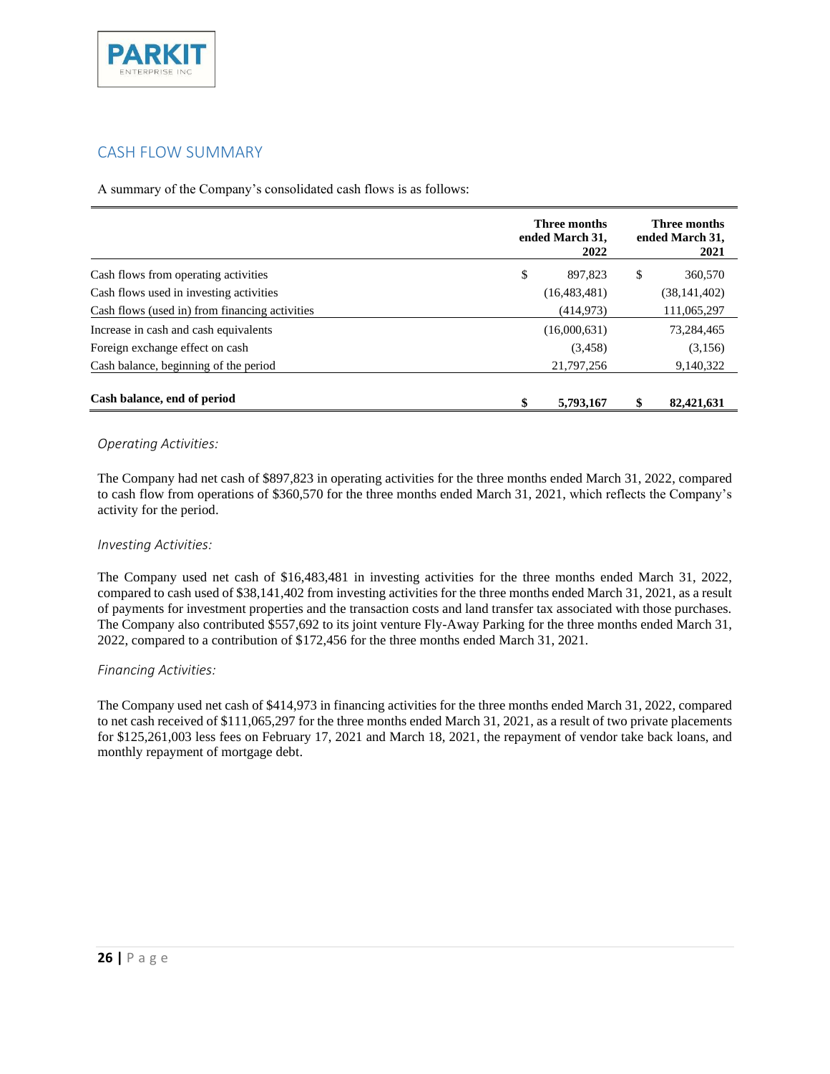

## <span id="page-25-0"></span>CASH FLOW SUMMARY

A summary of the Company's consolidated cash flows is as follows:

|                                                | Three months<br>ended March 31, | Three months<br>ended March 31,<br>2021 |    |                |
|------------------------------------------------|---------------------------------|-----------------------------------------|----|----------------|
| Cash flows from operating activities           | \$                              | 897.823                                 | \$ | 360,570        |
| Cash flows used in investing activities        |                                 | (16, 483, 481)                          |    | (38, 141, 402) |
| Cash flows (used in) from financing activities |                                 | (414, 973)                              |    | 111,065,297    |
| Increase in cash and cash equivalents          |                                 | (16,000,631)                            |    | 73,284,465     |
| Foreign exchange effect on cash                |                                 | (3, 458)                                |    | (3,156)        |
| Cash balance, beginning of the period          |                                 | 21,797,256                              |    | 9,140,322      |
| Cash balance, end of period                    | \$                              | 5,793,167                               |    | 82,421,631     |

#### *Operating Activities:*

The Company had net cash of \$897,823 in operating activities for the three months ended March 31, 2022, compared to cash flow from operations of \$360,570 for the three months ended March 31, 2021, which reflects the Company's activity for the period.

#### *Investing Activities:*

The Company used net cash of \$16,483,481 in investing activities for the three months ended March 31, 2022, compared to cash used of \$38,141,402 from investing activities for the three months ended March 31, 2021, as a result of payments for investment properties and the transaction costs and land transfer tax associated with those purchases. The Company also contributed \$557,692 to its joint venture Fly-Away Parking for the three months ended March 31, 2022, compared to a contribution of \$172,456 for the three months ended March 31, 2021.

#### *Financing Activities:*

The Company used net cash of \$414,973 in financing activities for the three months ended March 31, 2022, compared to net cash received of \$111,065,297 for the three months ended March 31, 2021, as a result of two private placements for \$125,261,003 less fees on February 17, 2021 and March 18, 2021, the repayment of vendor take back loans, and monthly repayment of mortgage debt.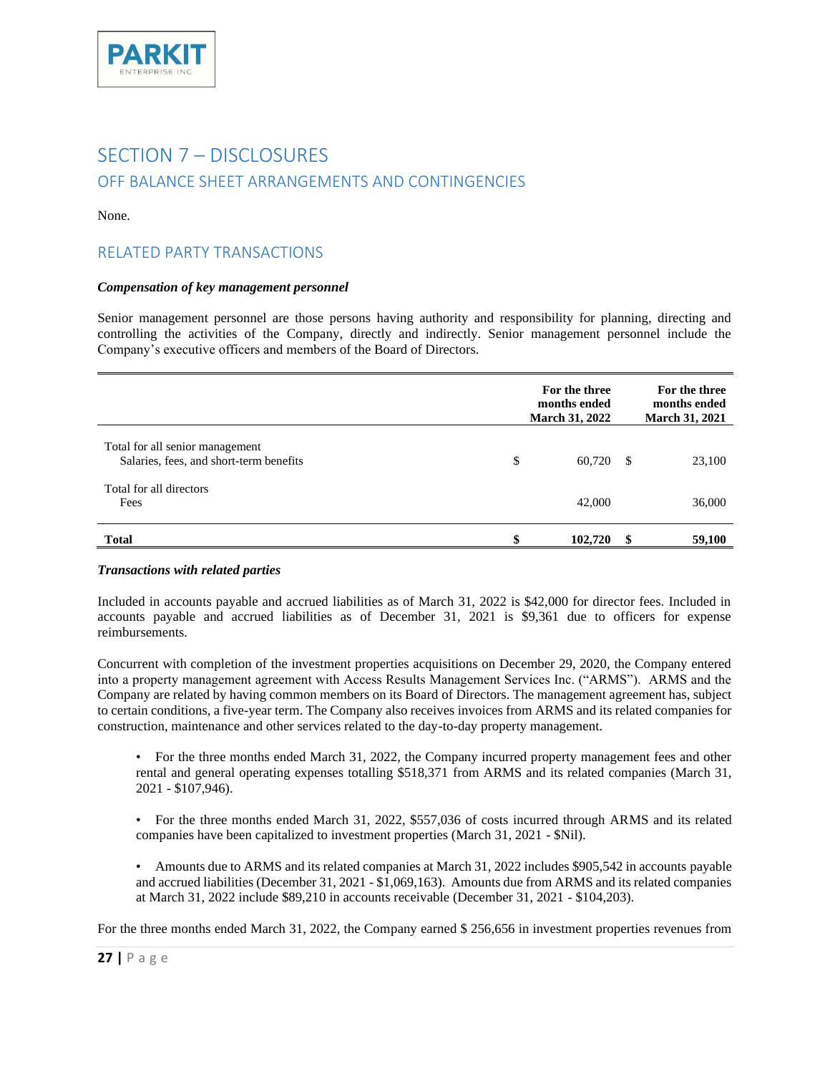

## <span id="page-26-1"></span><span id="page-26-0"></span>SECTION 7 - DISCLOSURES OFF BALANCE SHEET ARRANGEMENTS AND CONTINGENCIES

None.

## <span id="page-26-2"></span>RELATED PARTY TRANSACTIONS

#### *Compensation of key management personnel*

Senior management personnel are those persons having authority and responsibility for planning, directing and controlling the activities of the Company, directly and indirectly. Senior management personnel include the Company's executive officers and members of the Board of Directors.

|                                                                            |   | For the three<br>months ended<br><b>March 31, 2022</b> |    | For the three<br>months ended<br><b>March 31, 2021</b> |
|----------------------------------------------------------------------------|---|--------------------------------------------------------|----|--------------------------------------------------------|
| Total for all senior management<br>Salaries, fees, and short-term benefits | S | 60.720                                                 | -S | 23,100                                                 |
| Total for all directors<br>Fees                                            |   | 42,000                                                 |    | 36,000                                                 |
| <b>Total</b>                                                               |   | 102,720                                                |    | 59,100                                                 |

#### *Transactions with related parties*

Included in accounts payable and accrued liabilities as of March 31, 2022 is \$42,000 for director fees. Included in accounts payable and accrued liabilities as of December 31, 2021 is \$9,361 due to officers for expense reimbursements.

Concurrent with completion of the investment properties acquisitions on December 29, 2020, the Company entered into a property management agreement with Access Results Management Services Inc. ("ARMS"). ARMS and the Company are related by having common members on its Board of Directors. The management agreement has, subject to certain conditions, a five-year term. The Company also receives invoices from ARMS and its related companies for construction, maintenance and other services related to the day-to-day property management.

• For the three months ended March 31, 2022, the Company incurred property management fees and other rental and general operating expenses totalling \$518,371 from ARMS and its related companies (March 31, 2021 - \$107,946).

- For the three months ended March 31, 2022, \$557,036 of costs incurred through ARMS and its related companies have been capitalized to investment properties (March 31, 2021 - \$Nil).
- Amounts due to ARMS and its related companies at March 31, 2022 includes \$905,542 in accounts payable and accrued liabilities (December 31, 2021 - \$1,069,163). Amounts due from ARMS and its related companies at March 31, 2022 include \$89,210 in accounts receivable (December 31, 2021 - \$104,203).

For the three months ended March 31, 2022, the Company earned \$ 256,656 in investment properties revenues from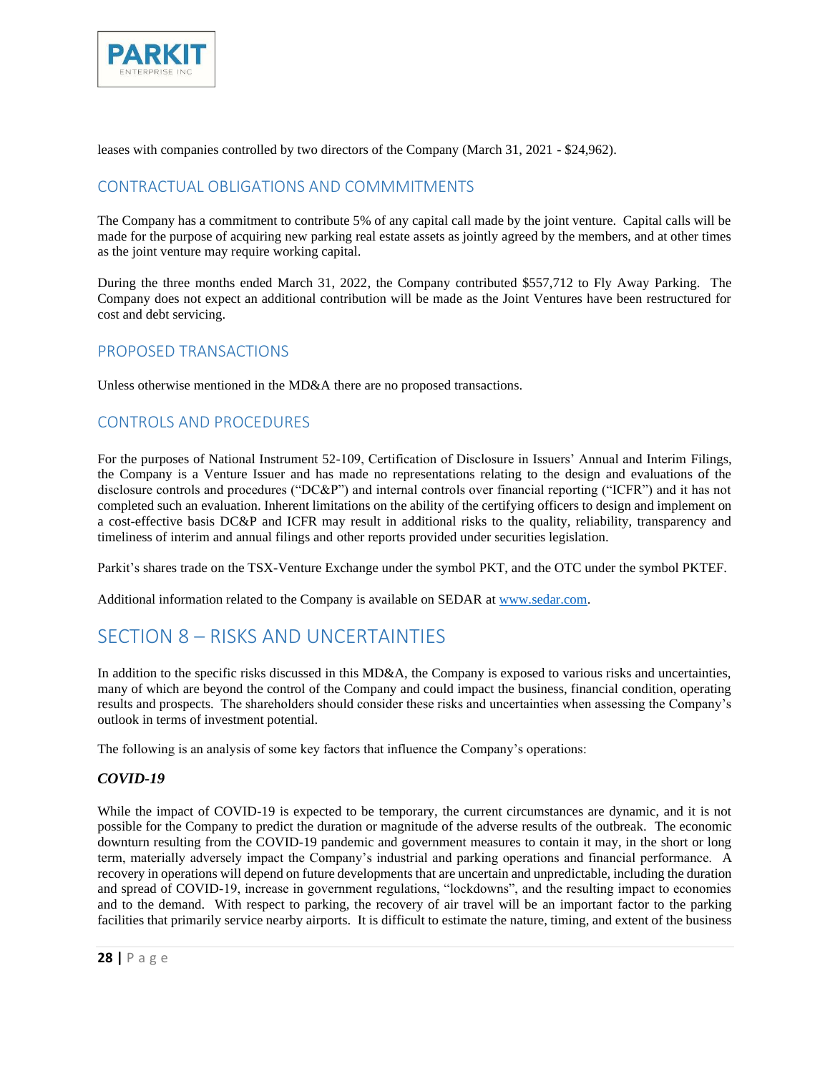

leases with companies controlled by two directors of the Company (March 31, 2021 - \$24,962).

## <span id="page-27-0"></span>CONTRACTUAL OBLIGATIONS AND COMMMITMENTS

The Company has a commitment to contribute 5% of any capital call made by the joint venture. Capital calls will be made for the purpose of acquiring new parking real estate assets as jointly agreed by the members, and at other times as the joint venture may require working capital.

During the three months ended March 31, 2022, the Company contributed \$557,712 to Fly Away Parking. The Company does not expect an additional contribution will be made as the Joint Ventures have been restructured for cost and debt servicing.

## <span id="page-27-1"></span>PROPOSED TRANSACTIONS

Unless otherwise mentioned in the MD&A there are no proposed transactions.

## <span id="page-27-2"></span>CONTROLS AND PROCEDURES

For the purposes of National Instrument 52-109, Certification of Disclosure in Issuers' Annual and Interim Filings, the Company is a Venture Issuer and has made no representations relating to the design and evaluations of the disclosure controls and procedures ("DC&P") and internal controls over financial reporting ("ICFR") and it has not completed such an evaluation. Inherent limitations on the ability of the certifying officers to design and implement on a cost-effective basis DC&P and ICFR may result in additional risks to the quality, reliability, transparency and timeliness of interim and annual filings and other reports provided under securities legislation.

Parkit's shares trade on the TSX-Venture Exchange under the symbol PKT, and the OTC under the symbol PKTEF.

<span id="page-27-3"></span>Additional information related to the Company is available on SEDAR at [www.sedar.com.](http://www.sedar.com/) 

## SECTION 8 – RISKS AND UNCERTAINTIES

In addition to the specific risks discussed in this MD&A, the Company is exposed to various risks and uncertainties, many of which are beyond the control of the Company and could impact the business, financial condition, operating results and prospects. The shareholders should consider these risks and uncertainties when assessing the Company's outlook in terms of investment potential.

The following is an analysis of some key factors that influence the Company's operations:

#### *COVID-19*

While the impact of COVID-19 is expected to be temporary, the current circumstances are dynamic, and it is not possible for the Company to predict the duration or magnitude of the adverse results of the outbreak. The economic downturn resulting from the COVID-19 pandemic and government measures to contain it may, in the short or long term, materially adversely impact the Company's industrial and parking operations and financial performance. A recovery in operations will depend on future developments that are uncertain and unpredictable, including the duration and spread of COVID-19, increase in government regulations, "lockdowns", and the resulting impact to economies and to the demand. With respect to parking, the recovery of air travel will be an important factor to the parking facilities that primarily service nearby airports. It is difficult to estimate the nature, timing, and extent of the business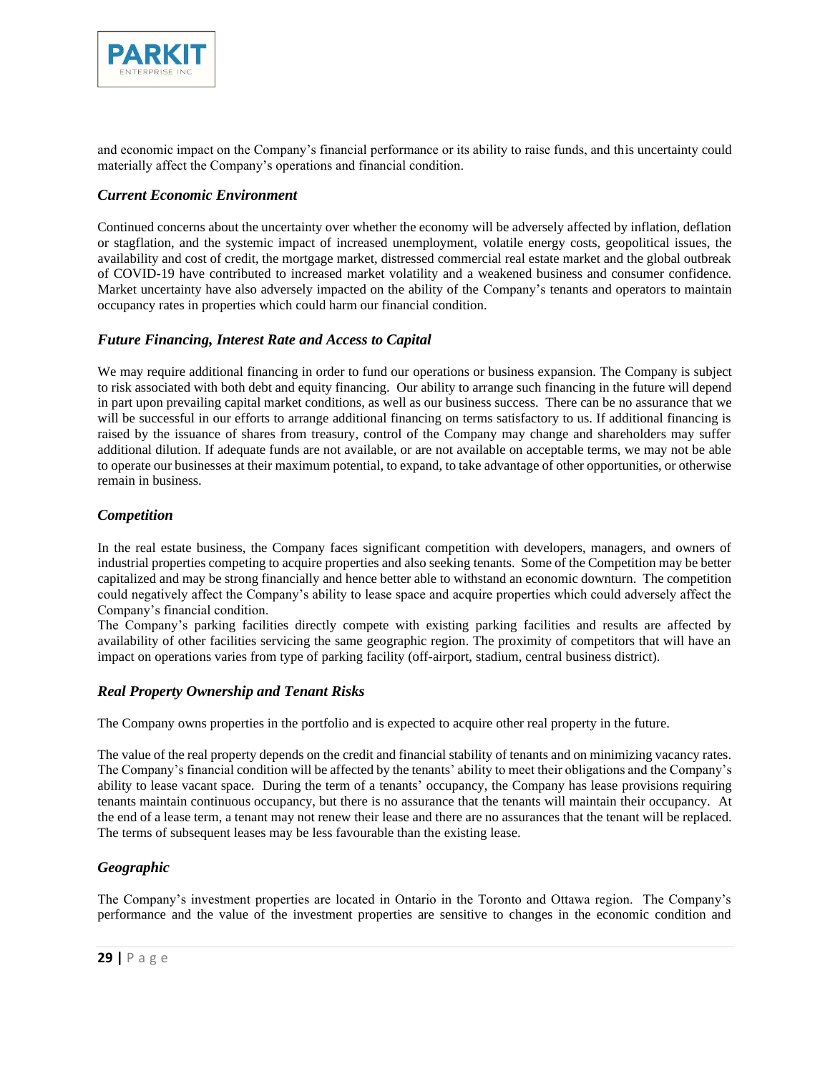

and economic impact on the Company's financial performance or its ability to raise funds, and this uncertainty could materially affect the Company's operations and financial condition.

#### *Current Economic Environment*

Continued concerns about the uncertainty over whether the economy will be adversely affected by inflation, deflation or stagflation, and the systemic impact of increased unemployment, volatile energy costs, geopolitical issues, the availability and cost of credit, the mortgage market, distressed commercial real estate market and the global outbreak of COVID-19 have contributed to increased market volatility and a weakened business and consumer confidence. Market uncertainty have also adversely impacted on the ability of the Company's tenants and operators to maintain occupancy rates in properties which could harm our financial condition.

#### *Future Financing, Interest Rate and Access to Capital*

We may require additional financing in order to fund our operations or business expansion. The Company is subject to risk associated with both debt and equity financing. Our ability to arrange such financing in the future will depend in part upon prevailing capital market conditions, as well as our business success. There can be no assurance that we will be successful in our efforts to arrange additional financing on terms satisfactory to us. If additional financing is raised by the issuance of shares from treasury, control of the Company may change and shareholders may suffer additional dilution. If adequate funds are not available, or are not available on acceptable terms, we may not be able to operate our businesses at their maximum potential, to expand, to take advantage of other opportunities, or otherwise remain in business.

#### *Competition*

In the real estate business, the Company faces significant competition with developers, managers, and owners of industrial properties competing to acquire properties and also seeking tenants. Some of the Competition may be better capitalized and may be strong financially and hence better able to withstand an economic downturn. The competition could negatively affect the Company's ability to lease space and acquire properties which could adversely affect the Company's financial condition.

The Company's parking facilities directly compete with existing parking facilities and results are affected by availability of other facilities servicing the same geographic region. The proximity of competitors that will have an impact on operations varies from type of parking facility (off-airport, stadium, central business district).

#### *Real Property Ownership and Tenant Risks*

The Company owns properties in the portfolio and is expected to acquire other real property in the future.

The value of the real property depends on the credit and financial stability of tenants and on minimizing vacancy rates. The Company's financial condition will be affected by the tenants' ability to meet their obligations and the Company's ability to lease vacant space. During the term of a tenants' occupancy, the Company has lease provisions requiring tenants maintain continuous occupancy, but there is no assurance that the tenants will maintain their occupancy. At the end of a lease term, a tenant may not renew their lease and there are no assurances that the tenant will be replaced. The terms of subsequent leases may be less favourable than the existing lease.

#### *Geographic*

The Company's investment properties are located in Ontario in the Toronto and Ottawa region. The Company's performance and the value of the investment properties are sensitive to changes in the economic condition and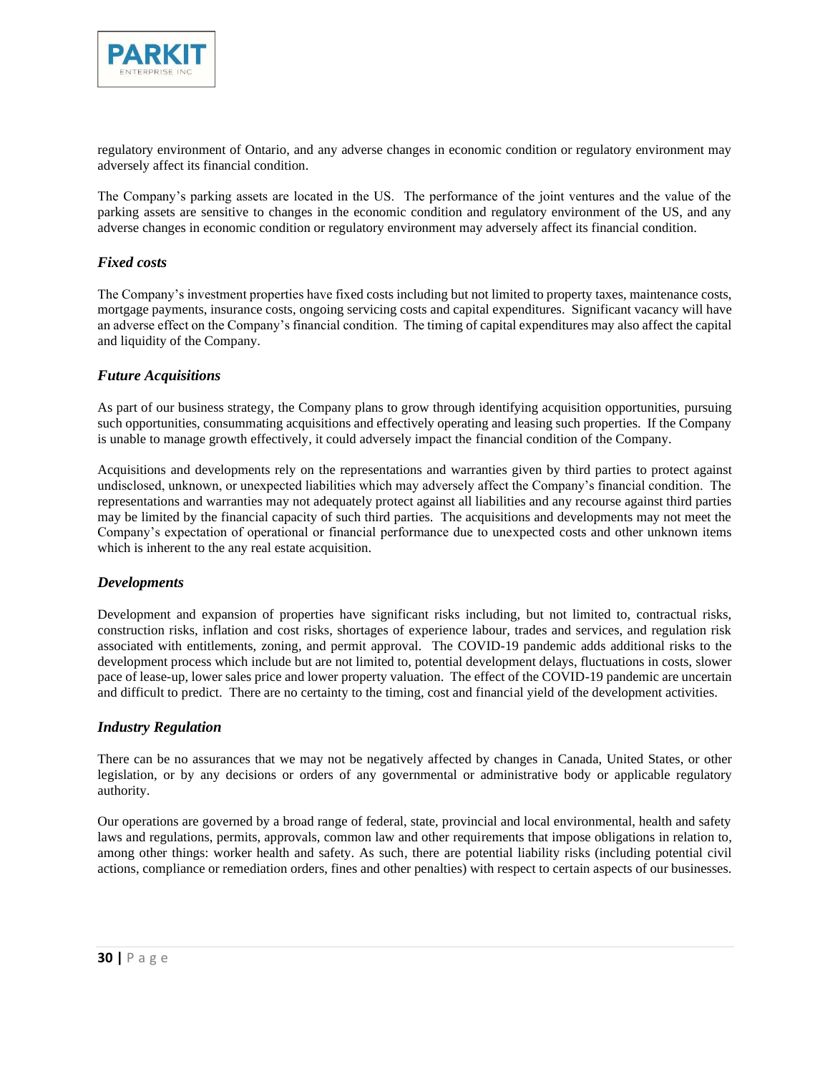

regulatory environment of Ontario, and any adverse changes in economic condition or regulatory environment may adversely affect its financial condition.

The Company's parking assets are located in the US. The performance of the joint ventures and the value of the parking assets are sensitive to changes in the economic condition and regulatory environment of the US, and any adverse changes in economic condition or regulatory environment may adversely affect its financial condition.

#### *Fixed costs*

The Company's investment properties have fixed costs including but not limited to property taxes, maintenance costs, mortgage payments, insurance costs, ongoing servicing costs and capital expenditures. Significant vacancy will have an adverse effect on the Company's financial condition. The timing of capital expenditures may also affect the capital and liquidity of the Company.

#### *Future Acquisitions*

As part of our business strategy, the Company plans to grow through identifying acquisition opportunities, pursuing such opportunities, consummating acquisitions and effectively operating and leasing such properties. If the Company is unable to manage growth effectively, it could adversely impact the financial condition of the Company.

Acquisitions and developments rely on the representations and warranties given by third parties to protect against undisclosed, unknown, or unexpected liabilities which may adversely affect the Company's financial condition. The representations and warranties may not adequately protect against all liabilities and any recourse against third parties may be limited by the financial capacity of such third parties. The acquisitions and developments may not meet the Company's expectation of operational or financial performance due to unexpected costs and other unknown items which is inherent to the any real estate acquisition.

#### *Developments*

Development and expansion of properties have significant risks including, but not limited to, contractual risks, construction risks, inflation and cost risks, shortages of experience labour, trades and services, and regulation risk associated with entitlements, zoning, and permit approval. The COVID-19 pandemic adds additional risks to the development process which include but are not limited to, potential development delays, fluctuations in costs, slower pace of lease-up, lower sales price and lower property valuation. The effect of the COVID-19 pandemic are uncertain and difficult to predict. There are no certainty to the timing, cost and financial yield of the development activities.

#### *Industry Regulation*

There can be no assurances that we may not be negatively affected by changes in Canada, United States, or other legislation, or by any decisions or orders of any governmental or administrative body or applicable regulatory authority.

Our operations are governed by a broad range of federal, state, provincial and local environmental, health and safety laws and regulations, permits, approvals, common law and other requirements that impose obligations in relation to, among other things: worker health and safety. As such, there are potential liability risks (including potential civil actions, compliance or remediation orders, fines and other penalties) with respect to certain aspects of our businesses.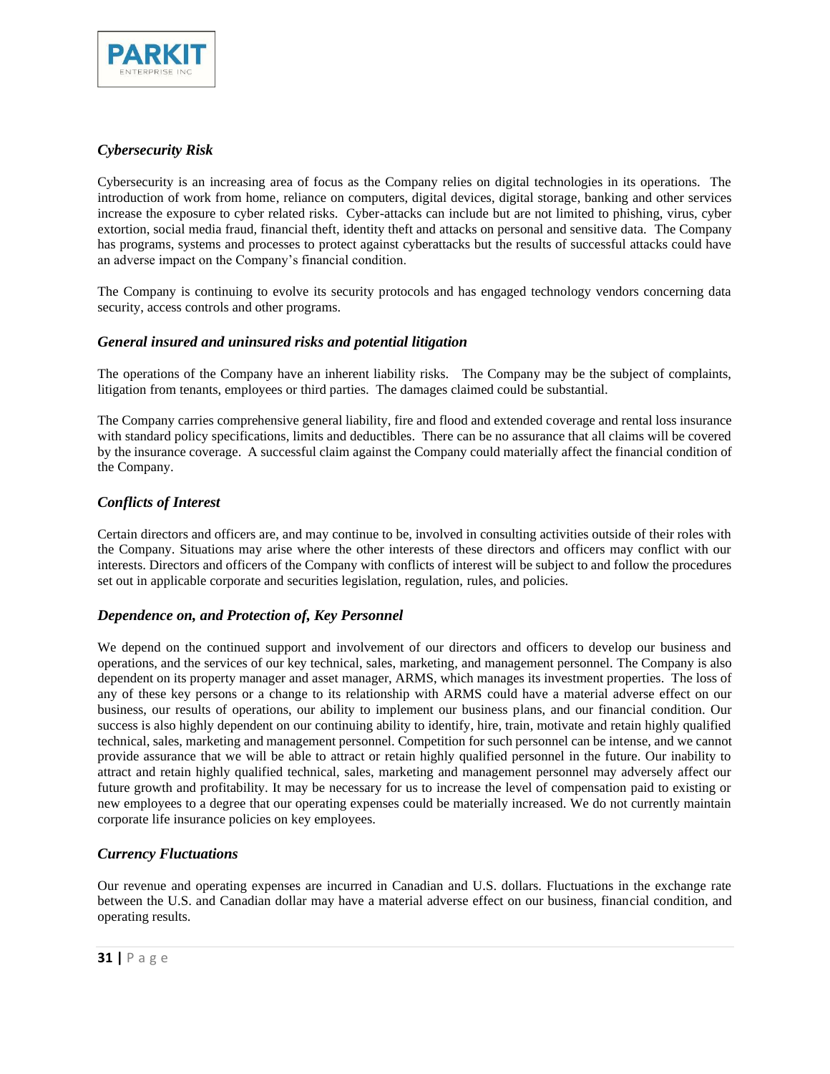

### *Cybersecurity Risk*

Cybersecurity is an increasing area of focus as the Company relies on digital technologies in its operations. The introduction of work from home, reliance on computers, digital devices, digital storage, banking and other services increase the exposure to cyber related risks. Cyber-attacks can include but are not limited to phishing, virus, cyber extortion, social media fraud, financial theft, identity theft and attacks on personal and sensitive data. The Company has programs, systems and processes to protect against cyberattacks but the results of successful attacks could have an adverse impact on the Company's financial condition.

The Company is continuing to evolve its security protocols and has engaged technology vendors concerning data security, access controls and other programs.

#### *General insured and uninsured risks and potential litigation*

The operations of the Company have an inherent liability risks. The Company may be the subject of complaints, litigation from tenants, employees or third parties. The damages claimed could be substantial.

The Company carries comprehensive general liability, fire and flood and extended coverage and rental loss insurance with standard policy specifications, limits and deductibles. There can be no assurance that all claims will be covered by the insurance coverage. A successful claim against the Company could materially affect the financial condition of the Company.

#### *Conflicts of Interest*

Certain directors and officers are, and may continue to be, involved in consulting activities outside of their roles with the Company. Situations may arise where the other interests of these directors and officers may conflict with our interests. Directors and officers of the Company with conflicts of interest will be subject to and follow the procedures set out in applicable corporate and securities legislation, regulation, rules, and policies.

#### *Dependence on, and Protection of, Key Personnel*

We depend on the continued support and involvement of our directors and officers to develop our business and operations, and the services of our key technical, sales, marketing, and management personnel. The Company is also dependent on its property manager and asset manager, ARMS, which manages its investment properties. The loss of any of these key persons or a change to its relationship with ARMS could have a material adverse effect on our business, our results of operations, our ability to implement our business plans, and our financial condition. Our success is also highly dependent on our continuing ability to identify, hire, train, motivate and retain highly qualified technical, sales, marketing and management personnel. Competition for such personnel can be intense, and we cannot provide assurance that we will be able to attract or retain highly qualified personnel in the future. Our inability to attract and retain highly qualified technical, sales, marketing and management personnel may adversely affect our future growth and profitability. It may be necessary for us to increase the level of compensation paid to existing or new employees to a degree that our operating expenses could be materially increased. We do not currently maintain corporate life insurance policies on key employees.

#### *Currency Fluctuations*

Our revenue and operating expenses are incurred in Canadian and U.S. dollars. Fluctuations in the exchange rate between the U.S. and Canadian dollar may have a material adverse effect on our business, financial condition, and operating results.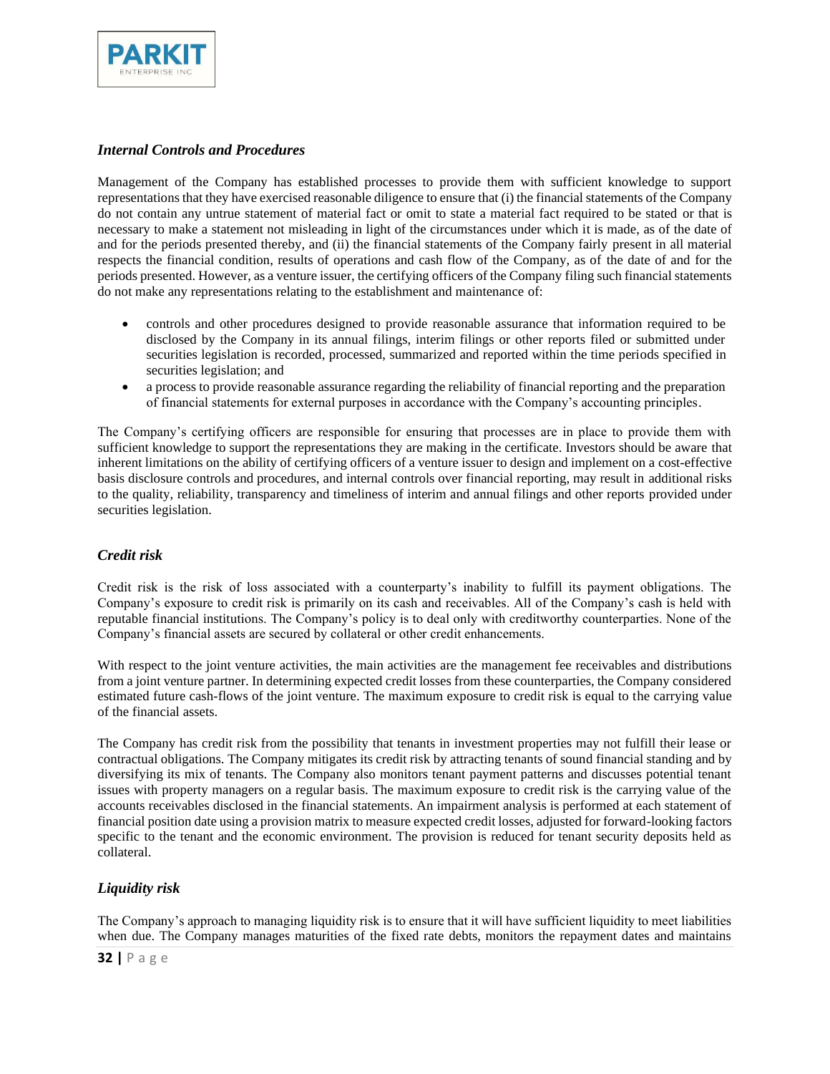

#### *Internal Controls and Procedures*

Management of the Company has established processes to provide them with sufficient knowledge to support representations that they have exercised reasonable diligence to ensure that (i) the financial statements of the Company do not contain any untrue statement of material fact or omit to state a material fact required to be stated or that is necessary to make a statement not misleading in light of the circumstances under which it is made, as of the date of and for the periods presented thereby, and (ii) the financial statements of the Company fairly present in all material respects the financial condition, results of operations and cash flow of the Company, as of the date of and for the periods presented. However, as a venture issuer, the certifying officers of the Company filing such financial statements do not make any representations relating to the establishment and maintenance of:

- controls and other procedures designed to provide reasonable assurance that information required to be disclosed by the Company in its annual filings, interim filings or other reports filed or submitted under securities legislation is recorded, processed, summarized and reported within the time periods specified in securities legislation; and
- a process to provide reasonable assurance regarding the reliability of financial reporting and the preparation of financial statements for external purposes in accordance with the Company's accounting principles.

The Company's certifying officers are responsible for ensuring that processes are in place to provide them with sufficient knowledge to support the representations they are making in the certificate. Investors should be aware that inherent limitations on the ability of certifying officers of a venture issuer to design and implement on a cost-effective basis disclosure controls and procedures, and internal controls over financial reporting, may result in additional risks to the quality, reliability, transparency and timeliness of interim and annual filings and other reports provided under securities legislation.

#### *Credit risk*

Credit risk is the risk of loss associated with a counterparty's inability to fulfill its payment obligations. The Company's exposure to credit risk is primarily on its cash and receivables. All of the Company's cash is held with reputable financial institutions. The Company's policy is to deal only with creditworthy counterparties. None of the Company's financial assets are secured by collateral or other credit enhancements.

With respect to the joint venture activities, the main activities are the management fee receivables and distributions from a joint venture partner. In determining expected credit losses from these counterparties, the Company considered estimated future cash-flows of the joint venture. The maximum exposure to credit risk is equal to the carrying value of the financial assets.

The Company has credit risk from the possibility that tenants in investment properties may not fulfill their lease or contractual obligations. The Company mitigates its credit risk by attracting tenants of sound financial standing and by diversifying its mix of tenants. The Company also monitors tenant payment patterns and discusses potential tenant issues with property managers on a regular basis. The maximum exposure to credit risk is the carrying value of the accounts receivables disclosed in the financial statements. An impairment analysis is performed at each statement of financial position date using a provision matrix to measure expected credit losses, adjusted for forward-looking factors specific to the tenant and the economic environment. The provision is reduced for tenant security deposits held as collateral.

#### *Liquidity risk*

The Company's approach to managing liquidity risk is to ensure that it will have sufficient liquidity to meet liabilities when due. The Company manages maturities of the fixed rate debts, monitors the repayment dates and maintains